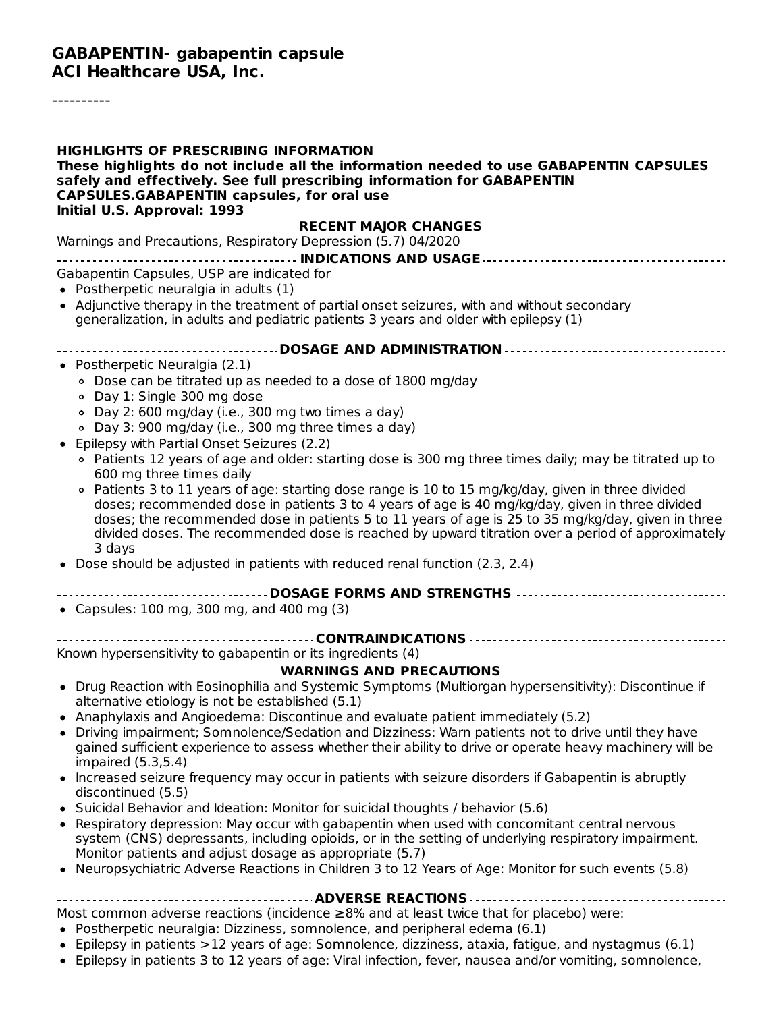#### **GABAPENTIN- gabapentin capsule ACI Healthcare USA, Inc.**

----------

| <b>HIGHLIGHTS OF PRESCRIBING INFORMATION</b><br>These highlights do not include all the information needed to use GABAPENTIN CAPSULES<br>safely and effectively. See full prescribing information for GABAPENTIN<br><b>CAPSULES.GABAPENTIN capsules, for oral use</b><br>Initial U.S. Approval: 1993                                                                                                                                                                                                                                                                                                                                             |
|--------------------------------------------------------------------------------------------------------------------------------------------------------------------------------------------------------------------------------------------------------------------------------------------------------------------------------------------------------------------------------------------------------------------------------------------------------------------------------------------------------------------------------------------------------------------------------------------------------------------------------------------------|
| Warnings and Precautions, Respiratory Depression (5.7) 04/2020                                                                                                                                                                                                                                                                                                                                                                                                                                                                                                                                                                                   |
|                                                                                                                                                                                                                                                                                                                                                                                                                                                                                                                                                                                                                                                  |
| Gabapentin Capsules, USP are indicated for<br>• Postherpetic neuralgia in adults (1)<br>• Adjunctive therapy in the treatment of partial onset seizures, with and without secondary<br>generalization, in adults and pediatric patients 3 years and older with epilepsy (1)                                                                                                                                                                                                                                                                                                                                                                      |
| ------------------------------- DOSAGE AND ADMINISTRATION ---------------------------------                                                                                                                                                                                                                                                                                                                                                                                                                                                                                                                                                      |
| • Postherpetic Neuralgia (2.1)<br>· Dose can be titrated up as needed to a dose of 1800 mg/day<br>○ Day 1: Single 300 mg dose<br>∘ Day 2: 600 mg/day (i.e., 300 mg two times a day)<br>· Day 3: 900 mg/day (i.e., 300 mg three times a day)<br>• Epilepsy with Partial Onset Seizures (2.2)                                                                                                                                                                                                                                                                                                                                                      |
| • Patients 12 years of age and older: starting dose is 300 mg three times daily; may be titrated up to<br>600 mg three times daily<br>• Patients 3 to 11 years of age: starting dose range is 10 to 15 mg/kg/day, given in three divided<br>doses; recommended dose in patients 3 to 4 years of age is 40 mg/kg/day, given in three divided<br>doses; the recommended dose in patients 5 to 11 years of age is 25 to 35 mg/kg/day, given in three<br>divided doses. The recommended dose is reached by upward titration over a period of approximately<br>3 days<br>• Dose should be adjusted in patients with reduced renal function (2.3, 2.4) |
|                                                                                                                                                                                                                                                                                                                                                                                                                                                                                                                                                                                                                                                  |
| • Capsules: 100 mg, 300 mg, and 400 mg (3)                                                                                                                                                                                                                                                                                                                                                                                                                                                                                                                                                                                                       |
|                                                                                                                                                                                                                                                                                                                                                                                                                                                                                                                                                                                                                                                  |
| Known hypersensitivity to gabapentin or its ingredients (4)                                                                                                                                                                                                                                                                                                                                                                                                                                                                                                                                                                                      |
| ---------------------------------- WARNINGS AND PRECAUTIONS --------------------------<br>• Drug Reaction with Eosinophilia and Systemic Symptoms (Multiorgan hypersensitivity): Discontinue if<br>alternative etiology is not be established (5.1)<br>Anaphylaxis and Angioedema: Discontinue and evaluate patient immediately (5.2)                                                                                                                                                                                                                                                                                                            |
| • Driving impairment; Somnolence/Sedation and Dizziness: Warn patients not to drive until they have<br>gained sufficient experience to assess whether their ability to drive or operate heavy machinery will be<br>impaired $(5.3,5.4)$                                                                                                                                                                                                                                                                                                                                                                                                          |
| • Increased seizure frequency may occur in patients with seizure disorders if Gabapentin is abruptly<br>discontinued (5.5)                                                                                                                                                                                                                                                                                                                                                                                                                                                                                                                       |
| • Suicidal Behavior and Ideation: Monitor for suicidal thoughts / behavior (5.6)<br>• Respiratory depression: May occur with gabapentin when used with concomitant central nervous<br>system (CNS) depressants, including opioids, or in the setting of underlying respiratory impairment.<br>Monitor patients and adjust dosage as appropriate (5.7)<br>• Neuropsychiatric Adverse Reactions in Children 3 to 12 Years of Age: Monitor for such events (5.8)                                                                                                                                                                                    |
|                                                                                                                                                                                                                                                                                                                                                                                                                                                                                                                                                                                                                                                  |
| Most common adverse reactions (incidence $\geq$ 8% and at least twice that for placebo) were:<br>• Postherpetic neuralgia: Dizziness, somnolence, and peripheral edema (6.1)                                                                                                                                                                                                                                                                                                                                                                                                                                                                     |

- Epilepsy in patients >12 years of age: Somnolence, dizziness, ataxia, fatigue, and nystagmus (6.1)
- Epilepsy in patients 3 to 12 years of age: Viral infection, fever, nausea and/or vomiting, somnolence,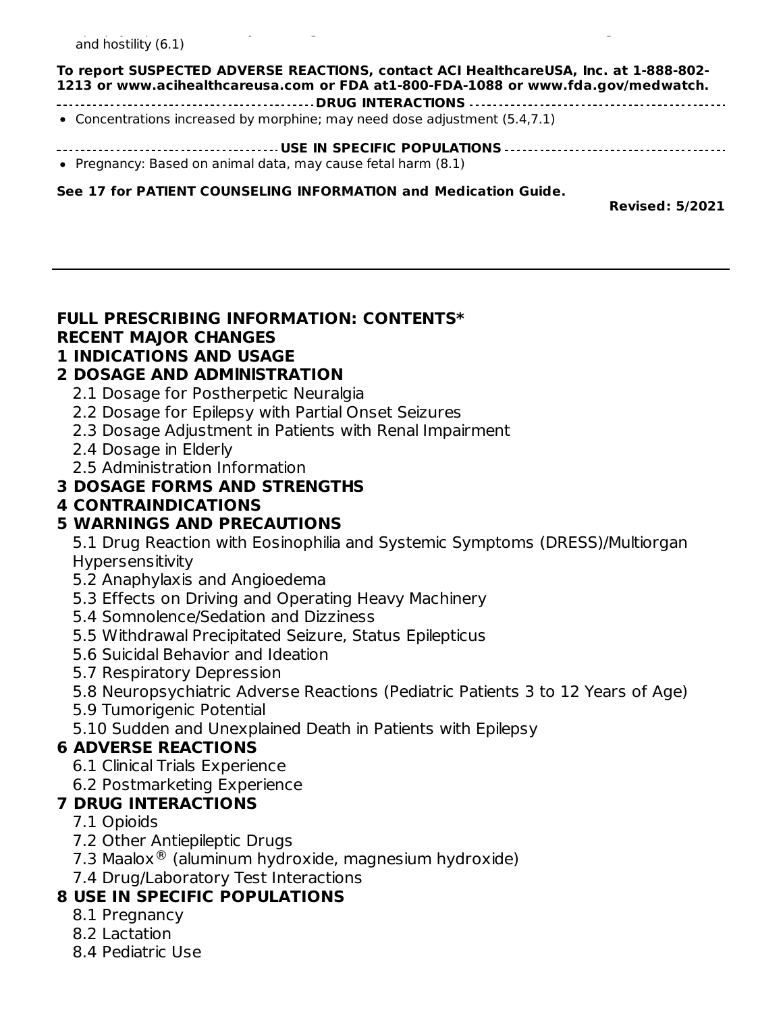#### Epilepsy in patients 3 to 12 years of age: Viral infection, fever, nausea and/or vomiting, somnolence, and hostility (6.1)

#### **To report SUSPECTED ADVERSE REACTIONS, contact ACI HealthcareUSA, Inc. at 1-888-802- 1213 or www.acihealthcareusa.com or FDA at1-800-FDA-1088 or www.fda.gov/medwatch.**

**DRUG INTERACTIONS**

Concentrations increased by morphine; may need dose adjustment (5.4,7.1)

- **USE IN SPECIFIC POPULATIONS**
- Pregnancy: Based on animal data, may cause fetal harm (8.1)

#### **See 17 for PATIENT COUNSELING INFORMATION and Medication Guide.**

**Revised: 5/2021**

# **FULL PRESCRIBING INFORMATION: CONTENTS\* RECENT MAJOR CHANGES**

#### **1 INDICATIONS AND USAGE 2 DOSAGE AND ADMlNlSTRATION**

- 
- 2.1 Dosage for Postherpetic Neuralgia
- 2.2 Dosage for Epilepsy with Partial Onset Seizures
- 2.3 Dosage Adjustment in Patients with Renal Impairment
- 2.4 Dosage in Elderly
- 2.5 Administration Information

#### **3 DOSAGE FORMS AND STRENGTHS**

**4 CONTRAINDICATIONS**

### **5 WARNINGS AND PRECAUTIONS**

5.1 Drug Reaction with Eosinophilia and Systemic Symptoms (DRESS)/Multiorgan **Hypersensitivity** 

- 5.2 Anaphylaxis and Angioedema
- 5.3 Effects on Driving and Operating Heavy Machinery
- 5.4 Somnolence/Sedation and Dizziness
- 5.5 Withdrawal Precipitated Seizure, Status Epilepticus
- 5.6 Suicidal Behavior and Ideation
- 5.7 Respiratory Depression
- 5.8 Neuropsychiatric Adverse Reactions (Pediatric Patients 3 to 12 Years of Age)
- 5.9 Tumorigenic Potential
- 5.10 Sudden and Unexplained Death in Patients with Epilepsy

#### **6 ADVERSE REACTIONS**

- 6.1 Clinical Trials Experience
- 6.2 Postmarketing Experience

### **7 DRUG INTERACTIONS**

- 7.1 Opioids
- 7.2 Other Antiepileptic Drugs
- 7.3 Maalox $\mathcal{R}$  (aluminum hydroxide, magnesium hydroxide)
- 7.4 Drug/Laboratory Test Interactions

### **8 USE IN SPECIFIC POPULATIONS**

- 8.1 Pregnancy
- 8.2 Lactation
- 8.4 Pediatric Use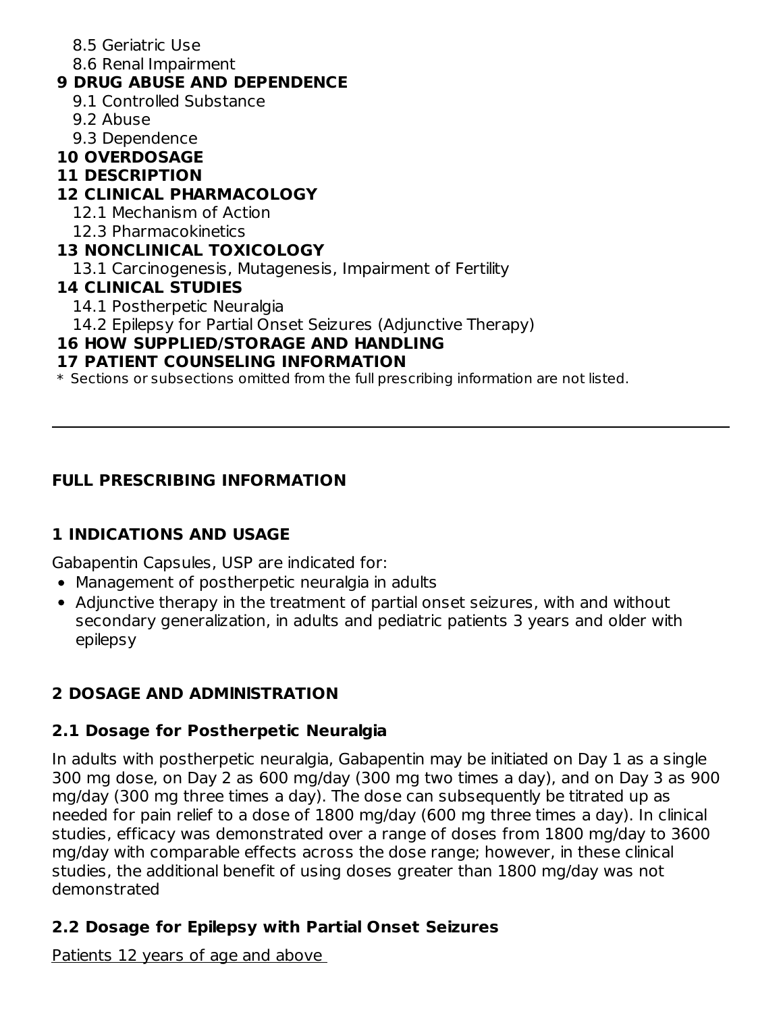- 8.5 Geriatric Use
- 8.6 Renal Impairment

### **9 DRUG ABUSE AND DEPENDENCE**

- 9.1 Controlled Substance
- 9.2 Abuse
- 9.3 Dependence

### **10 OVERDOSAGE**

### **11 DESCRIPTION**

# **12 CLINICAL PHARMACOLOGY**

- 12.1 Mechanism of Action
- 12.3 Pharmacokinetics

### **13 NONCLINICAL TOXICOLOGY**

13.1 Carcinogenesis, Mutagenesis, Impairment of Fertility

### **14 CLINICAL STUDIES**

- 14.1 Postherpetic Neuralgia
- 14.2 Epilepsy for Partial Onset Seizures (Adjunctive Therapy)

# **16 HOW SUPPLIED/STORAGE AND HANDLING**

# **17 PATIENT COUNSELING INFORMATION**

 $\ast$  Sections or subsections omitted from the full prescribing information are not listed.

# **FULL PRESCRIBING INFORMATION**

# **1 INDICATIONS AND USAGE**

Gabapentin Capsules, USP are indicated for:

- Management of postherpetic neuralgia in adults
- Adjunctive therapy in the treatment of partial onset seizures, with and without secondary generalization, in adults and pediatric patients 3 years and older with epilepsy

# **2 DOSAGE AND ADMlNlSTRATION**

# **2.1 Dosage for Postherpetic Neuralgia**

In adults with postherpetic neuralgia, Gabapentin may be initiated on Day 1 as a single 300 mg dose, on Day 2 as 600 mg/day (300 mg two times a day), and on Day 3 as 900 mg/day (300 mg three times a day). The dose can subsequently be titrated up as needed for pain relief to a dose of 1800 mg/day (600 mg three times a day). In clinical studies, efficacy was demonstrated over a range of doses from 1800 mg/day to 3600 mg/day with comparable effects across the dose range; however, in these clinical studies, the additional benefit of using doses greater than 1800 mg/day was not demonstrated

# **2.2 Dosage for Epilepsy with Partial Onset Seizures**

Patients 12 years of age and above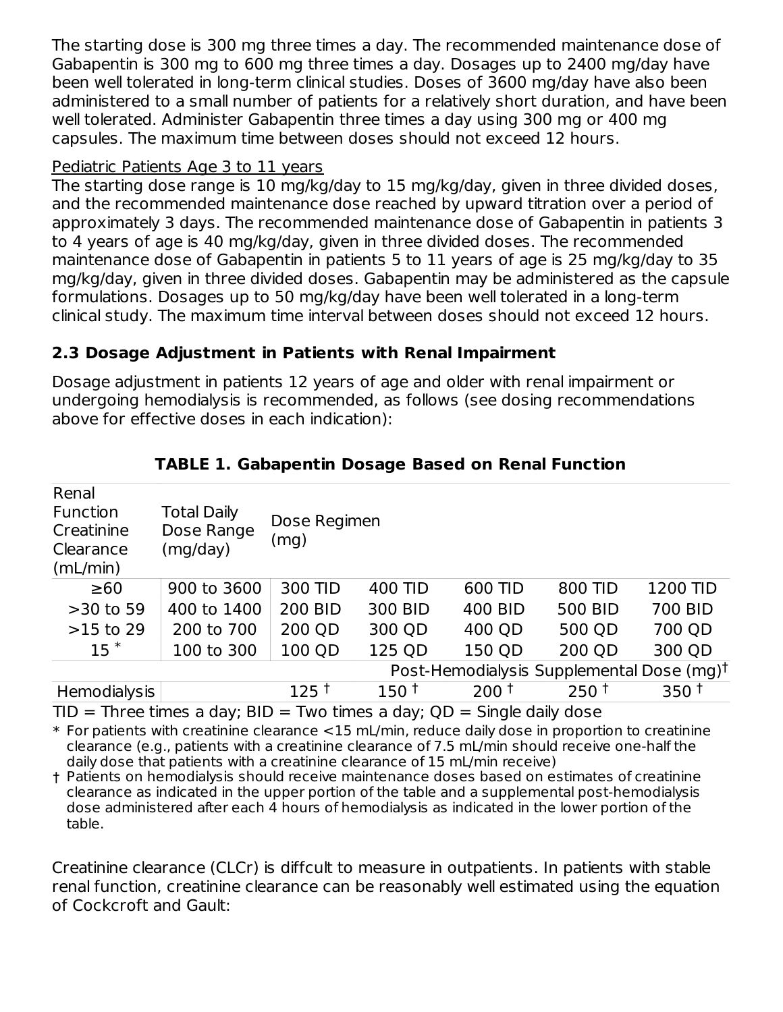The starting dose is 300 mg three times a day. The recommended maintenance dose of Gabapentin is 300 mg to 600 mg three times a day. Dosages up to 2400 mg/day have been well tolerated in long-term clinical studies. Doses of 3600 mg/day have also been administered to a small number of patients for a relatively short duration, and have been well tolerated. Administer Gabapentin three times a day using 300 mg or 400 mg capsules. The maximum time between doses should not exceed 12 hours.

#### Pediatric Patients Age 3 to 11 years

The starting dose range is 10 mg/kg/day to 15 mg/kg/day, given in three divided doses, and the recommended maintenance dose reached by upward titration over a period of approximately 3 days. The recommended maintenance dose of Gabapentin in patients 3 to 4 years of age is 40 mg/kg/day, given in three divided doses. The recommended maintenance dose of Gabapentin in patients 5 to 11 years of age is 25 mg/kg/day to 35 mg/kg/day, given in three divided doses. Gabapentin may be administered as the capsule formulations. Dosages up to 50 mg/kg/day have been well tolerated in a long-term clinical study. The maximum time interval between doses should not exceed 12 hours.

### **2.3 Dosage Adjustment in Patients with Renal Impairment**

Dosage adjustment in patients 12 years of age and older with renal impairment or undergoing hemodialysis is recommended, as follows (see dosing recommendations above for effective doses in each indication):

| Renal<br><b>Function</b><br>Creatinine<br>Clearance<br>(mL/min) | <b>Total Daily</b><br>Dose Range<br>(mg/day)          | Dose Regimen<br>(mg) |         |                  |                  |                  |
|-----------------------------------------------------------------|-------------------------------------------------------|----------------------|---------|------------------|------------------|------------------|
| $\geq 60$                                                       | 900 to 3600                                           | 300 TID              | 400 TID | 600 TID          | 800 TID          | <b>1200 TID</b>  |
| $>30$ to 59                                                     | 400 to 1400                                           | <b>200 BID</b>       | 300 BID | 400 BID          | <b>500 BID</b>   | 700 BID          |
| $>15$ to 29                                                     | 200 to 700                                            | 200 QD               | 300 QD  | 400 QD           | 500 QD           | 700 QD           |
| $15$ $*$                                                        | 100 to 300                                            | 100 QD               | 125 QD  | 150 QD           | 200 QD           | 300 QD           |
|                                                                 | Post-Hemodialysis Supplemental Dose (mg) <sup>†</sup> |                      |         |                  |                  |                  |
| Hemodialysis                                                    |                                                       | 125†                 | $150+$  | 200 <sup>†</sup> | 250 <sup>†</sup> | 350 <sup>†</sup> |

### **TABLE 1. Gabapentin Dosage Based on Renal Function**

 $TID =$  Three times a day;  $BID = Two times a day$ ;  $QD =$  Single daily dose

\* For patients with creatinine clearance <15 mL/min, reduce daily dose in proportion to creatinine clearance (e.g., patients with a creatinine clearance of 7.5 mL/min should receive one-half the daily dose that patients with a creatinine clearance of 15 mL/min receive)

† Patients on hemodialysis should receive maintenance doses based on estimates of creatinine clearance as indicated in the upper portion of the table and a supplemental post-hemodialysis dose administered after each 4 hours of hemodialysis as indicated in the lower portion of the table.

Creatinine clearance (CLCr) is diffcult to measure in outpatients. In patients with stable renal function, creatinine clearance can be reasonably well estimated using the equation of Cockcroft and Gault: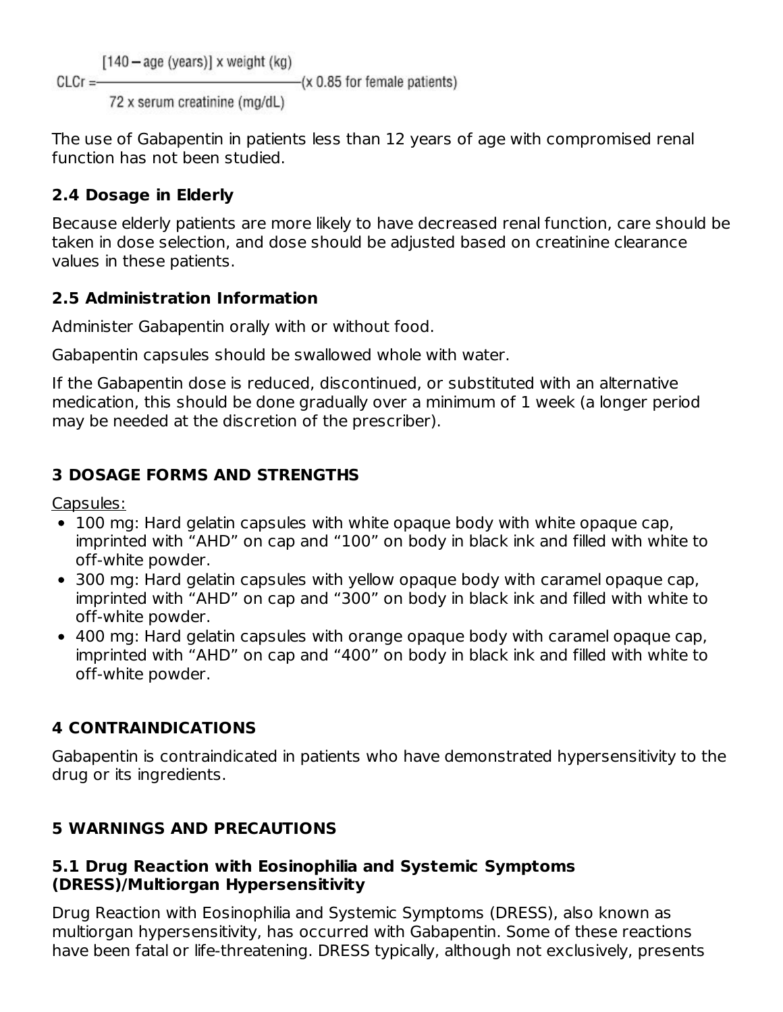$[140 - aqe$  (years)] x weight (kg)

 $-(x 0.85$  for female patients)

72 x serum creatinine (mg/dL)

The use of Gabapentin in patients less than 12 years of age with compromised renal function has not been studied.

# **2.4 Dosage in Elderly**

 $Cl Cr = -$ 

Because elderly patients are more likely to have decreased renal function, care should be taken in dose selection, and dose should be adjusted based on creatinine clearance values in these patients.

# **2.5 Administration Information**

Administer Gabapentin orally with or without food.

Gabapentin capsules should be swallowed whole with water.

If the Gabapentin dose is reduced, discontinued, or substituted with an alternative medication, this should be done gradually over a minimum of 1 week (a longer period may be needed at the discretion of the prescriber).

# **3 DOSAGE FORMS AND STRENGTHS**

Capsules:

- 100 mg: Hard gelatin capsules with white opaque body with white opaque cap, imprinted with "AHD" on cap and "100" on body in black ink and filled with white to off-white powder.
- 300 mg: Hard gelatin capsules with yellow opaque body with caramel opaque cap, imprinted with "AHD" on cap and "300" on body in black ink and filled with white to off-white powder.
- 400 mg: Hard gelatin capsules with orange opaque body with caramel opaque cap, imprinted with "AHD" on cap and "400" on body in black ink and filled with white to off-white powder.

# **4 CONTRAINDICATIONS**

Gabapentin is contraindicated in patients who have demonstrated hypersensitivity to the drug or its ingredients.

# **5 WARNINGS AND PRECAUTIONS**

### **5.1 Drug Reaction with Eosinophilia and Systemic Symptoms (DRESS)/Multiorgan Hypersensitivity**

Drug Reaction with Eosinophilia and Systemic Symptoms (DRESS), also known as multiorgan hypersensitivity, has occurred with Gabapentin. Some of these reactions have been fatal or life-threatening. DRESS typically, although not exclusively, presents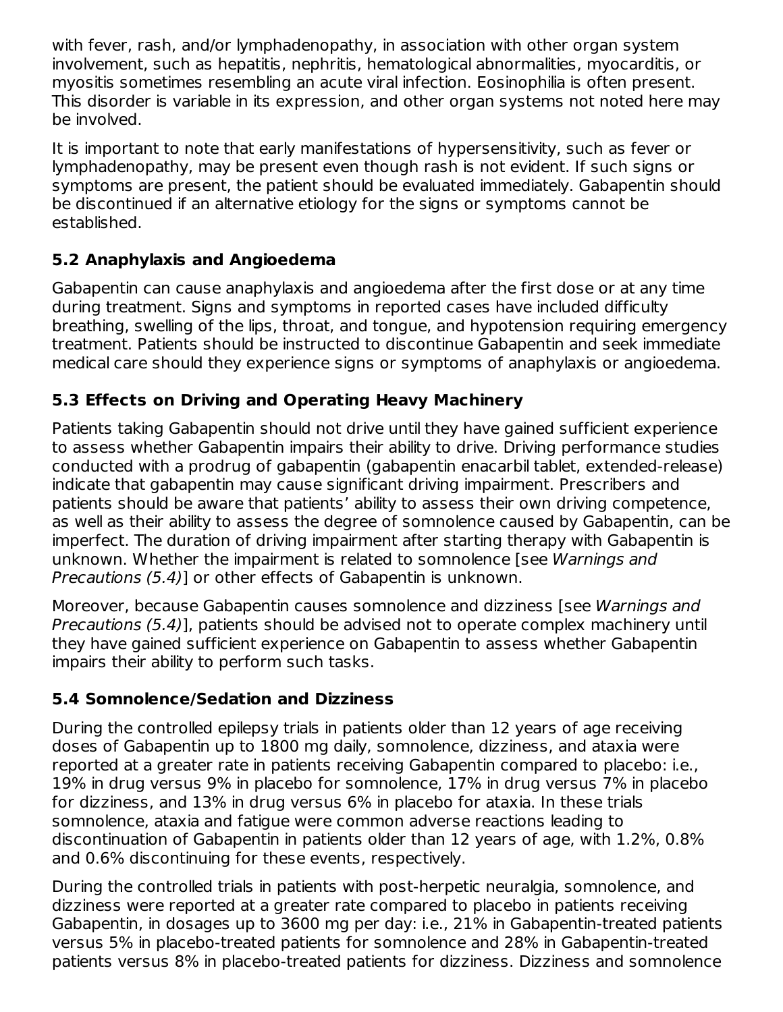with fever, rash, and/or lymphadenopathy, in association with other organ system involvement, such as hepatitis, nephritis, hematological abnormalities, myocarditis, or myositis sometimes resembling an acute viral infection. Eosinophilia is often present. This disorder is variable in its expression, and other organ systems not noted here may be involved.

It is important to note that early manifestations of hypersensitivity, such as fever or lymphadenopathy, may be present even though rash is not evident. If such signs or symptoms are present, the patient should be evaluated immediately. Gabapentin should be discontinued if an alternative etiology for the signs or symptoms cannot be established.

### **5.2 Anaphylaxis and Angioedema**

Gabapentin can cause anaphylaxis and angioedema after the first dose or at any time during treatment. Signs and symptoms in reported cases have included difficulty breathing, swelling of the lips, throat, and tongue, and hypotension requiring emergency treatment. Patients should be instructed to discontinue Gabapentin and seek immediate medical care should they experience signs or symptoms of anaphylaxis or angioedema.

### **5.3 Effects on Driving and Operating Heavy Machinery**

Patients taking Gabapentin should not drive until they have gained sufficient experience to assess whether Gabapentin impairs their ability to drive. Driving performance studies conducted with a prodrug of gabapentin (gabapentin enacarbil tablet, extended-release) indicate that gabapentin may cause significant driving impairment. Prescribers and patients should be aware that patients' ability to assess their own driving competence, as well as their ability to assess the degree of somnolence caused by Gabapentin, can be imperfect. The duration of driving impairment after starting therapy with Gabapentin is unknown. Whether the impairment is related to somnolence [see Warnings and Precautions (5.4)] or other effects of Gabapentin is unknown.

Moreover, because Gabapentin causes somnolence and dizziness [see Warnings and Precautions (5.4)], patients should be advised not to operate complex machinery until they have gained sufficient experience on Gabapentin to assess whether Gabapentin impairs their ability to perform such tasks.

### **5.4 Somnolence/Sedation and Dizziness**

During the controlled epilepsy trials in patients older than 12 years of age receiving doses of Gabapentin up to 1800 mg daily, somnolence, dizziness, and ataxia were reported at a greater rate in patients receiving Gabapentin compared to placebo: i.e., 19% in drug versus 9% in placebo for somnolence, 17% in drug versus 7% in placebo for dizziness, and 13% in drug versus 6% in placebo for ataxia. In these trials somnolence, ataxia and fatigue were common adverse reactions leading to discontinuation of Gabapentin in patients older than 12 years of age, with 1.2%, 0.8% and 0.6% discontinuing for these events, respectively.

During the controlled trials in patients with post-herpetic neuralgia, somnolence, and dizziness were reported at a greater rate compared to placebo in patients receiving Gabapentin, in dosages up to 3600 mg per day: i.e., 21% in Gabapentin-treated patients versus 5% in placebo-treated patients for somnolence and 28% in Gabapentin-treated patients versus 8% in placebo-treated patients for dizziness. Dizziness and somnolence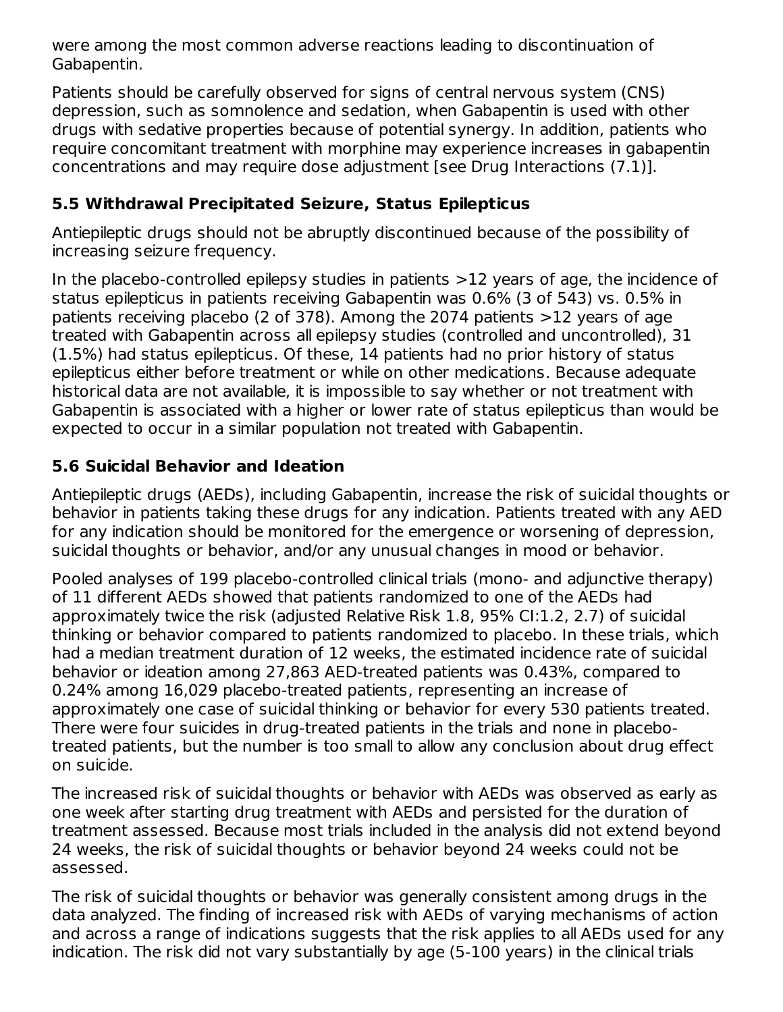were among the most common adverse reactions leading to discontinuation of Gabapentin.

Patients should be carefully observed for signs of central nervous system (CNS) depression, such as somnolence and sedation, when Gabapentin is used with other drugs with sedative properties because of potential synergy. In addition, patients who require concomitant treatment with morphine may experience increases in gabapentin concentrations and may require dose adjustment [see Drug Interactions (7.1)].

### **5.5 Withdrawal Precipitated Seizure, Status Epilepticus**

Antiepileptic drugs should not be abruptly discontinued because of the possibility of increasing seizure frequency.

In the placebo-controlled epilepsy studies in patients >12 years of age, the incidence of status epilepticus in patients receiving Gabapentin was 0.6% (3 of 543) vs. 0.5% in patients receiving placebo (2 of 378). Among the 2074 patients >12 years of age treated with Gabapentin across all epilepsy studies (controlled and uncontrolled), 31 (1.5%) had status epilepticus. Of these, 14 patients had no prior history of status epilepticus either before treatment or while on other medications. Because adequate historical data are not available, it is impossible to say whether or not treatment with Gabapentin is associated with a higher or lower rate of status epilepticus than would be expected to occur in a similar population not treated with Gabapentin.

### **5.6 Suicidal Behavior and Ideation**

Antiepileptic drugs (AEDs), including Gabapentin, increase the risk of suicidal thoughts or behavior in patients taking these drugs for any indication. Patients treated with any AED for any indication should be monitored for the emergence or worsening of depression, suicidal thoughts or behavior, and/or any unusual changes in mood or behavior.

Pooled analyses of 199 placebo-controlled clinical trials (mono- and adjunctive therapy) of 11 different AEDs showed that patients randomized to one of the AEDs had approximately twice the risk (adjusted Relative Risk 1.8, 95% CI:1.2, 2.7) of suicidal thinking or behavior compared to patients randomized to placebo. In these trials, which had a median treatment duration of 12 weeks, the estimated incidence rate of suicidal behavior or ideation among 27,863 AED-treated patients was 0.43%, compared to 0.24% among 16,029 placebo-treated patients, representing an increase of approximately one case of suicidal thinking or behavior for every 530 patients treated. There were four suicides in drug-treated patients in the trials and none in placebotreated patients, but the number is too small to allow any conclusion about drug effect on suicide.

The increased risk of suicidal thoughts or behavior with AEDs was observed as early as one week after starting drug treatment with AEDs and persisted for the duration of treatment assessed. Because most trials included in the analysis did not extend beyond 24 weeks, the risk of suicidal thoughts or behavior beyond 24 weeks could not be assessed.

The risk of suicidal thoughts or behavior was generally consistent among drugs in the data analyzed. The finding of increased risk with AEDs of varying mechanisms of action and across a range of indications suggests that the risk applies to all AEDs used for any indication. The risk did not vary substantially by age (5-100 years) in the clinical trials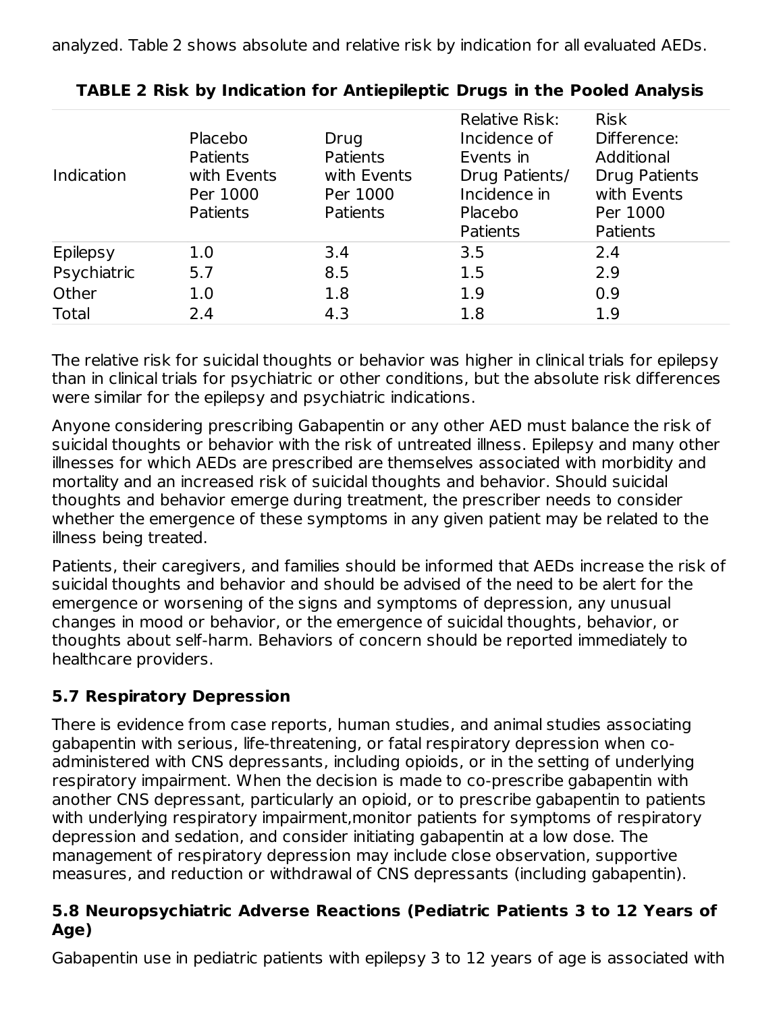analyzed. Table 2 shows absolute and relative risk by indication for all evaluated AEDs.

| Indication      | Placebo<br><b>Patients</b><br>with Events<br>Per 1000<br>Patients | Drug<br><b>Patients</b><br>with Events<br>Per 1000<br><b>Patients</b> | <b>Relative Risk:</b><br>Incidence of<br>Events in<br>Drug Patients/<br>Incidence in<br>Placebo<br>Patients | <b>Risk</b><br>Difference:<br>Additional<br><b>Drug Patients</b><br>with Events<br>Per 1000<br><b>Patients</b> |
|-----------------|-------------------------------------------------------------------|-----------------------------------------------------------------------|-------------------------------------------------------------------------------------------------------------|----------------------------------------------------------------------------------------------------------------|
| <b>Epilepsy</b> | 1.0                                                               | 3.4                                                                   | 3.5                                                                                                         | 2.4                                                                                                            |
| Psychiatric     | 5.7                                                               | 8.5                                                                   | 1.5                                                                                                         | 2.9                                                                                                            |
| Other           | 1.0                                                               | 1.8                                                                   | 1.9                                                                                                         | 0.9                                                                                                            |
| Total           | 2.4                                                               | 4.3                                                                   | 1.8                                                                                                         | 1.9                                                                                                            |

# **TABLE 2 Risk by Indication for Antiepileptic Drugs in the Pooled Analysis**

The relative risk for suicidal thoughts or behavior was higher in clinical trials for epilepsy than in clinical trials for psychiatric or other conditions, but the absolute risk differences were similar for the epilepsy and psychiatric indications.

Anyone considering prescribing Gabapentin or any other AED must balance the risk of suicidal thoughts or behavior with the risk of untreated illness. Epilepsy and many other illnesses for which AEDs are prescribed are themselves associated with morbidity and mortality and an increased risk of suicidal thoughts and behavior. Should suicidal thoughts and behavior emerge during treatment, the prescriber needs to consider whether the emergence of these symptoms in any given patient may be related to the illness being treated.

Patients, their caregivers, and families should be informed that AEDs increase the risk of suicidal thoughts and behavior and should be advised of the need to be alert for the emergence or worsening of the signs and symptoms of depression, any unusual changes in mood or behavior, or the emergence of suicidal thoughts, behavior, or thoughts about self-harm. Behaviors of concern should be reported immediately to healthcare providers.

# **5.7 Respiratory Depression**

There is evidence from case reports, human studies, and animal studies associating gabapentin with serious, life-threatening, or fatal respiratory depression when coadministered with CNS depressants, including opioids, or in the setting of underlying respiratory impairment. When the decision is made to co-prescribe gabapentin with another CNS depressant, particularly an opioid, or to prescribe gabapentin to patients with underlying respiratory impairment,monitor patients for symptoms of respiratory depression and sedation, and consider initiating gabapentin at a low dose. The management of respiratory depression may include close observation, supportive measures, and reduction or withdrawal of CNS depressants (including gabapentin).

### **5.8 Neuropsychiatric Adverse Reactions (Pediatric Patients 3 to 12 Years of Age)**

Gabapentin use in pediatric patients with epilepsy 3 to 12 years of age is associated with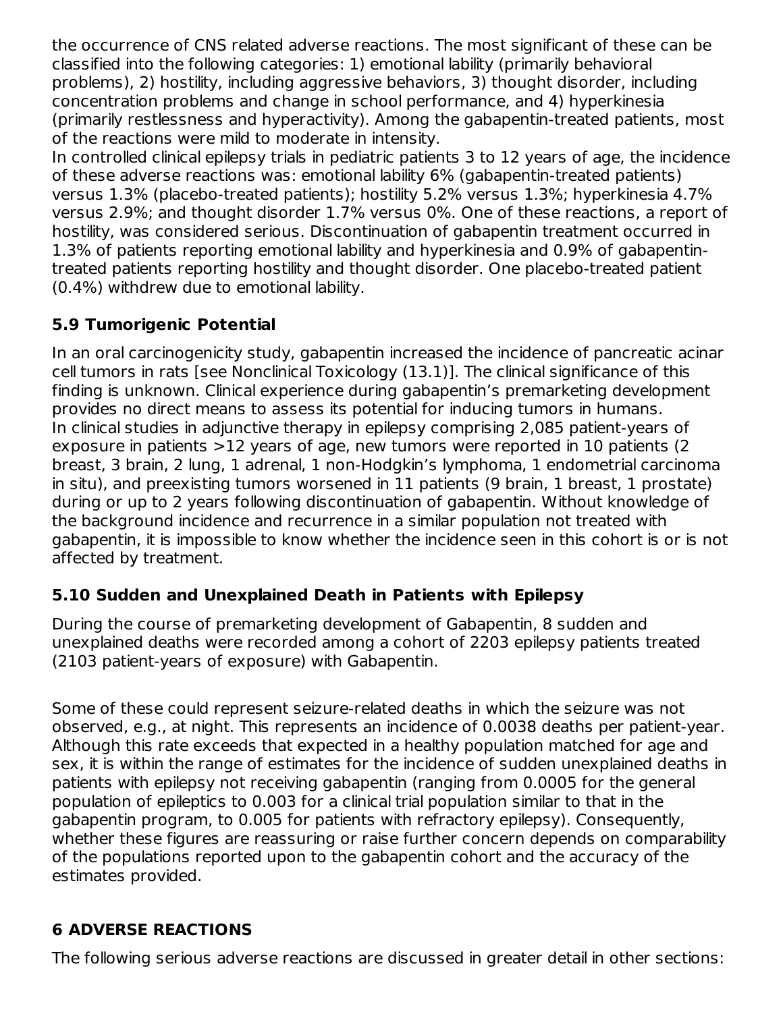the occurrence of CNS related adverse reactions. The most significant of these can be classified into the following categories: 1) emotional lability (primarily behavioral problems), 2) hostility, including aggressive behaviors, 3) thought disorder, including concentration problems and change in school performance, and 4) hyperkinesia (primarily restlessness and hyperactivity). Among the gabapentin-treated patients, most of the reactions were mild to moderate in intensity.

In controlled clinical epilepsy trials in pediatric patients 3 to 12 years of age, the incidence of these adverse reactions was: emotional lability 6% (gabapentin-treated patients) versus 1.3% (placebo-treated patients); hostility 5.2% versus 1.3%; hyperkinesia 4.7% versus 2.9%; and thought disorder 1.7% versus 0%. One of these reactions, a report of hostility, was considered serious. Discontinuation of gabapentin treatment occurred in 1.3% of patients reporting emotional lability and hyperkinesia and 0.9% of gabapentintreated patients reporting hostility and thought disorder. One placebo-treated patient (0.4%) withdrew due to emotional lability.

### **5.9 Tumorigenic Potential**

In an oral carcinogenicity study, gabapentin increased the incidence of pancreatic acinar cell tumors in rats [see Nonclinical Toxicology (13.1)]. The clinical significance of this finding is unknown. Clinical experience during gabapentin's premarketing development provides no direct means to assess its potential for inducing tumors in humans. In clinical studies in adjunctive therapy in epilepsy comprising 2,085 patient-years of exposure in patients >12 years of age, new tumors were reported in 10 patients (2 breast, 3 brain, 2 lung, 1 adrenal, 1 non-Hodgkin's lymphoma, 1 endometrial carcinoma in situ), and preexisting tumors worsened in 11 patients (9 brain, 1 breast, 1 prostate) during or up to 2 years following discontinuation of gabapentin. Without knowledge of the background incidence and recurrence in a similar population not treated with gabapentin, it is impossible to know whether the incidence seen in this cohort is or is not affected by treatment.

# **5.10 Sudden and Unexplained Death in Patients with Epilepsy**

During the course of premarketing development of Gabapentin, 8 sudden and unexplained deaths were recorded among a cohort of 2203 epilepsy patients treated (2103 patient-years of exposure) with Gabapentin.

Some of these could represent seizure-related deaths in which the seizure was not observed, e.g., at night. This represents an incidence of 0.0038 deaths per patient-year. Although this rate exceeds that expected in a healthy population matched for age and sex, it is within the range of estimates for the incidence of sudden unexplained deaths in patients with epilepsy not receiving gabapentin (ranging from 0.0005 for the general population of epileptics to 0.003 for a clinical trial population similar to that in the gabapentin program, to 0.005 for patients with refractory epilepsy). Consequently, whether these figures are reassuring or raise further concern depends on comparability of the populations reported upon to the gabapentin cohort and the accuracy of the estimates provided.

# **6 ADVERSE REACTIONS**

The following serious adverse reactions are discussed in greater detail in other sections: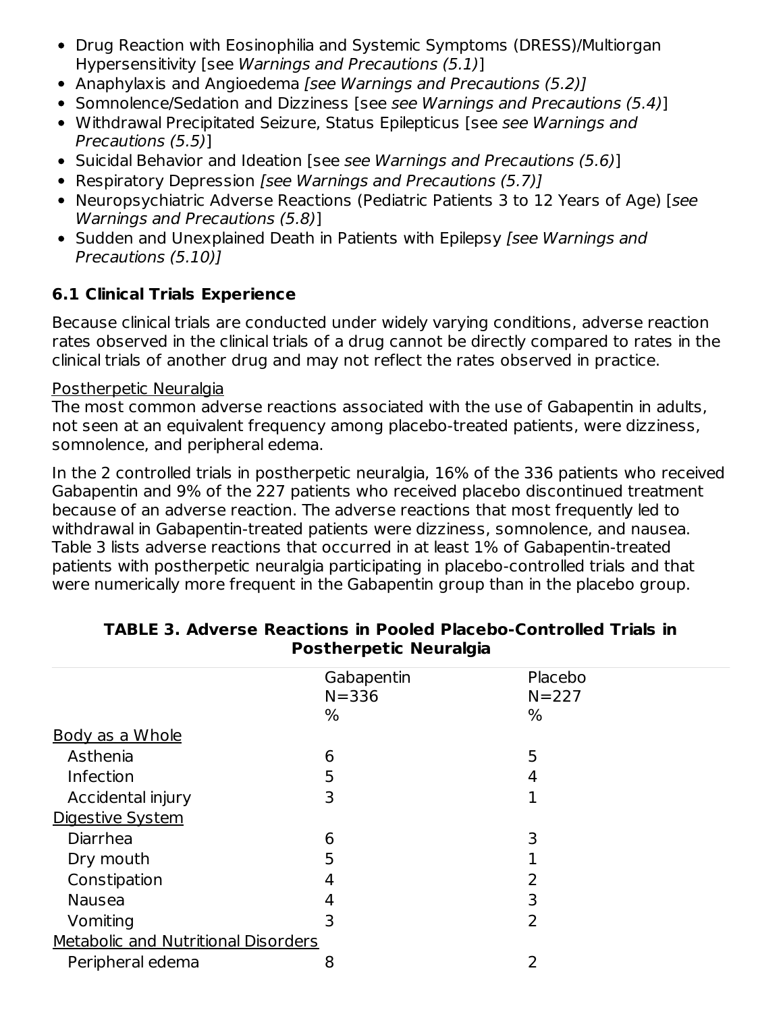- Drug Reaction with Eosinophilia and Systemic Symptoms (DRESS)/Multiorgan Hypersensitivity [see Warnings and Precautions (5.1)]
- Anaphylaxis and Angioedema [see Warnings and Precautions (5.2)]
- Somnolence/Sedation and Dizziness [see see Warnings and Precautions (5.4)]
- Withdrawal Precipitated Seizure, Status Epilepticus [see see Warnings and Precautions (5.5)]
- Suicidal Behavior and Ideation [see see Warnings and Precautions (5.6)]
- Respiratory Depression [see Warnings and Precautions (5.7)]
- Neuropsychiatric Adverse Reactions (Pediatric Patients 3 to 12 Years of Age) [see Warnings and Precautions (5.8)]
- Sudden and Unexplained Death in Patients with Epilepsy [see Warnings and Precautions (5.10)]

# **6.1 Clinical Trials Experience**

Because clinical trials are conducted under widely varying conditions, adverse reaction rates observed in the clinical trials of a drug cannot be directly compared to rates in the clinical trials of another drug and may not reflect the rates observed in practice.

#### Postherpetic Neuralgia

The most common adverse reactions associated with the use of Gabapentin in adults, not seen at an equivalent frequency among placebo-treated patients, were dizziness, somnolence, and peripheral edema.

In the 2 controlled trials in postherpetic neuralgia, 16% of the 336 patients who received Gabapentin and 9% of the 227 patients who received placebo discontinued treatment because of an adverse reaction. The adverse reactions that most frequently led to withdrawal in Gabapentin-treated patients were dizziness, somnolence, and nausea. Table 3 lists adverse reactions that occurred in at least 1% of Gabapentin-treated patients with postherpetic neuralgia participating in placebo-controlled trials and that were numerically more frequent in the Gabapentin group than in the placebo group.

|                                     | Gabapentin | Placebo        |
|-------------------------------------|------------|----------------|
|                                     | $N = 336$  | $N = 227$      |
|                                     | %          | %              |
| <b>Body as a Whole</b>              |            |                |
| Asthenia                            | 6          | 5              |
| Infection                           | 5          | 4              |
| Accidental injury                   | 3          | 1              |
| Digestive System                    |            |                |
| Diarrhea                            | 6          | 3              |
| Dry mouth                           | 5          |                |
| Constipation                        | 4          | 2              |
| <b>Nausea</b>                       | 4          | 3              |
| Vomiting                            | 3          | $\overline{2}$ |
| Metabolic and Nutritional Disorders |            |                |
| Peripheral edema                    | 8          | 2              |
|                                     |            |                |

#### **TABLE 3. Adverse Reactions in Pooled Placebo-Controlled Trials in Postherpetic Neuralgia**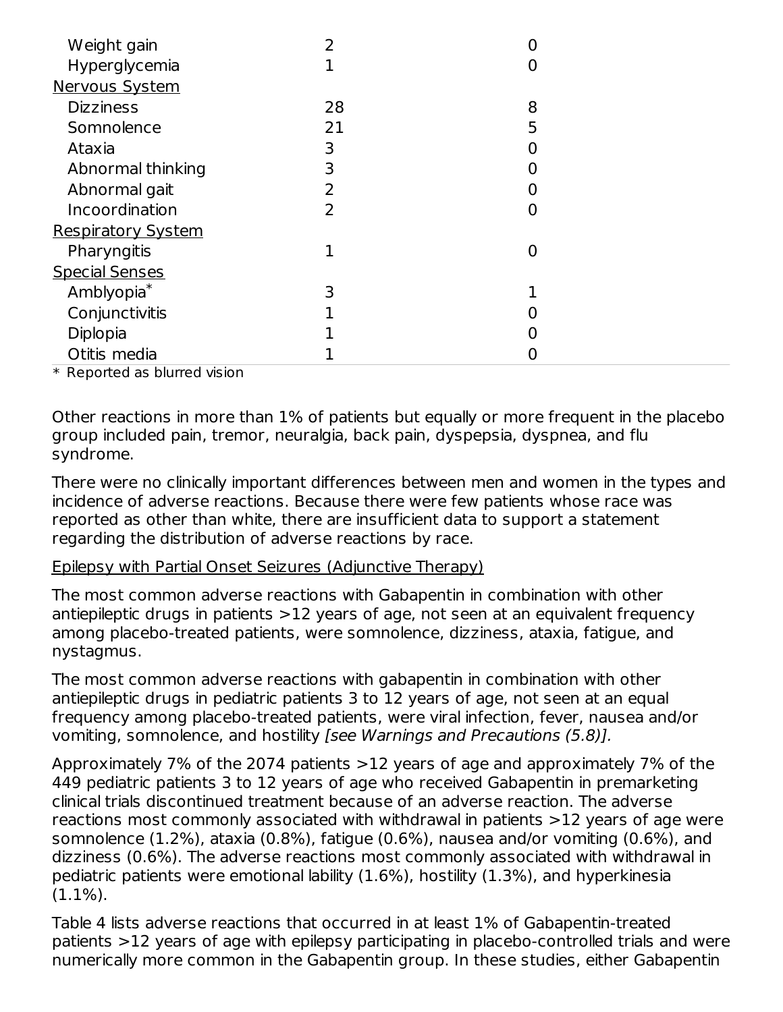| Weight gain               |    |                |  |
|---------------------------|----|----------------|--|
| Hyperglycemia             |    | 0              |  |
| Nervous System            |    |                |  |
| <b>Dizziness</b>          | 28 | 8              |  |
| Somnolence                | 21 | 5              |  |
| Ataxia                    | 3  | 0              |  |
| Abnormal thinking         | 3  | 0              |  |
| Abnormal gait             | 2  | 0              |  |
| Incoordination            | 2  | 0              |  |
| <b>Respiratory System</b> |    |                |  |
| Pharyngitis               | 1  | $\overline{0}$ |  |
| <b>Special Senses</b>     |    |                |  |
| Amblyopia*                | 3  |                |  |
| Conjunctivitis            |    |                |  |
| Diplopia                  |    | 0              |  |
| Otitis media              |    |                |  |

\* Reported as blurred vision

Other reactions in more than 1% of patients but equally or more frequent in the placebo group included pain, tremor, neuralgia, back pain, dyspepsia, dyspnea, and flu syndrome.

There were no clinically important differences between men and women in the types and incidence of adverse reactions. Because there were few patients whose race was reported as other than white, there are insufficient data to support a statement regarding the distribution of adverse reactions by race.

#### Epilepsy with Partial Onset Seizures (Adjunctive Therapy)

The most common adverse reactions with Gabapentin in combination with other antiepileptic drugs in patients >12 years of age, not seen at an equivalent frequency among placebo-treated patients, were somnolence, dizziness, ataxia, fatigue, and nystagmus.

The most common adverse reactions with gabapentin in combination with other antiepileptic drugs in pediatric patients 3 to 12 years of age, not seen at an equal frequency among placebo-treated patients, were viral infection, fever, nausea and/or vomiting, somnolence, and hostility [see Warnings and Precautions (5.8)].

Approximately 7% of the 2074 patients >12 years of age and approximately 7% of the 449 pediatric patients 3 to 12 years of age who received Gabapentin in premarketing clinical trials discontinued treatment because of an adverse reaction. The adverse reactions most commonly associated with withdrawal in patients >12 years of age were somnolence (1.2%), ataxia (0.8%), fatigue (0.6%), nausea and/or vomiting (0.6%), and dizziness (0.6%). The adverse reactions most commonly associated with withdrawal in pediatric patients were emotional lability (1.6%), hostility (1.3%), and hyperkinesia  $(1.1\%)$ .

Table 4 lists adverse reactions that occurred in at least 1% of Gabapentin-treated patients >12 years of age with epilepsy participating in placebo-controlled trials and were numerically more common in the Gabapentin group. In these studies, either Gabapentin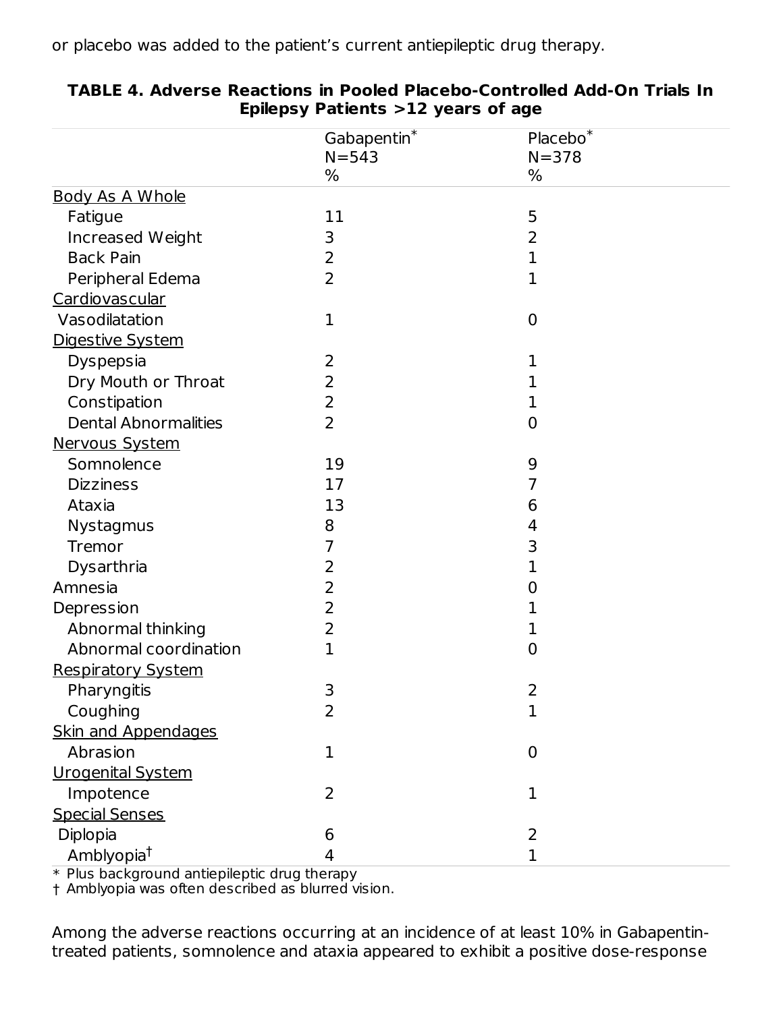or placebo was added to the patient's current antiepileptic drug therapy.

|                             | ${\sf Gabapentin}^*$<br>$N = 543$ | $Placebo^*$<br>$N = 378$ |  |
|-----------------------------|-----------------------------------|--------------------------|--|
|                             | %                                 | %                        |  |
| <b>Body As A Whole</b>      |                                   |                          |  |
| Fatigue                     | 11                                | 5                        |  |
| Increased Weight            | 3                                 | $\overline{2}$           |  |
| <b>Back Pain</b>            | 2                                 | 1                        |  |
| Peripheral Edema            | $\overline{2}$                    | 1                        |  |
| Cardiovascular              |                                   |                          |  |
| Vasodilatation              | $\mathbf{1}$                      | $\mathbf 0$              |  |
| Digestive System            |                                   |                          |  |
| Dyspepsia                   | 2                                 | 1                        |  |
| Dry Mouth or Throat         | $\overline{2}$                    | 1                        |  |
| Constipation                | 2                                 | 1                        |  |
| <b>Dental Abnormalities</b> | $\overline{2}$                    | $\mathbf 0$              |  |
| Nervous System              |                                   |                          |  |
| Somnolence                  | 19                                | 9                        |  |
| <b>Dizziness</b>            | 17                                | 7                        |  |
| Ataxia                      | 13                                | 6                        |  |
| Nystagmus                   | 8                                 | 4                        |  |
| Tremor                      | 7                                 | 3                        |  |
| Dysarthria                  | 2                                 | 1                        |  |
| Amnesia                     | 2                                 | 0                        |  |
| Depression                  | $\overline{2}$                    | 1                        |  |
| Abnormal thinking           | 2                                 | 1                        |  |
| Abnormal coordination       | 1                                 | $\overline{0}$           |  |
| <b>Respiratory System</b>   |                                   |                          |  |
| Pharyngitis                 | 3                                 | 2                        |  |
| Coughing                    | $\overline{2}$                    | 1                        |  |
| <b>Skin and Appendages</b>  |                                   |                          |  |
| Abrasion                    | $\mathbf{1}$                      | $\mathbf 0$              |  |
| <b>Urogenital System</b>    |                                   |                          |  |
| Impotence                   | $\overline{2}$                    | $\mathbf{1}$             |  |
| <b>Special Senses</b>       |                                   |                          |  |
| Diplopia                    | 6                                 | 2                        |  |
| Amblyopia <sup>t</sup>      | 4                                 | $\mathbf{1}$             |  |

#### **TABLE 4. Adverse Reactions in Pooled Placebo-Controlled Add-On Trials In Epilepsy Patients >12 years of age**

\* Plus background antiepileptic drug therapy

† Amblyopia was often described as blurred vision.

Among the adverse reactions occurring at an incidence of at least 10% in Gabapentintreated patients, somnolence and ataxia appeared to exhibit a positive dose-response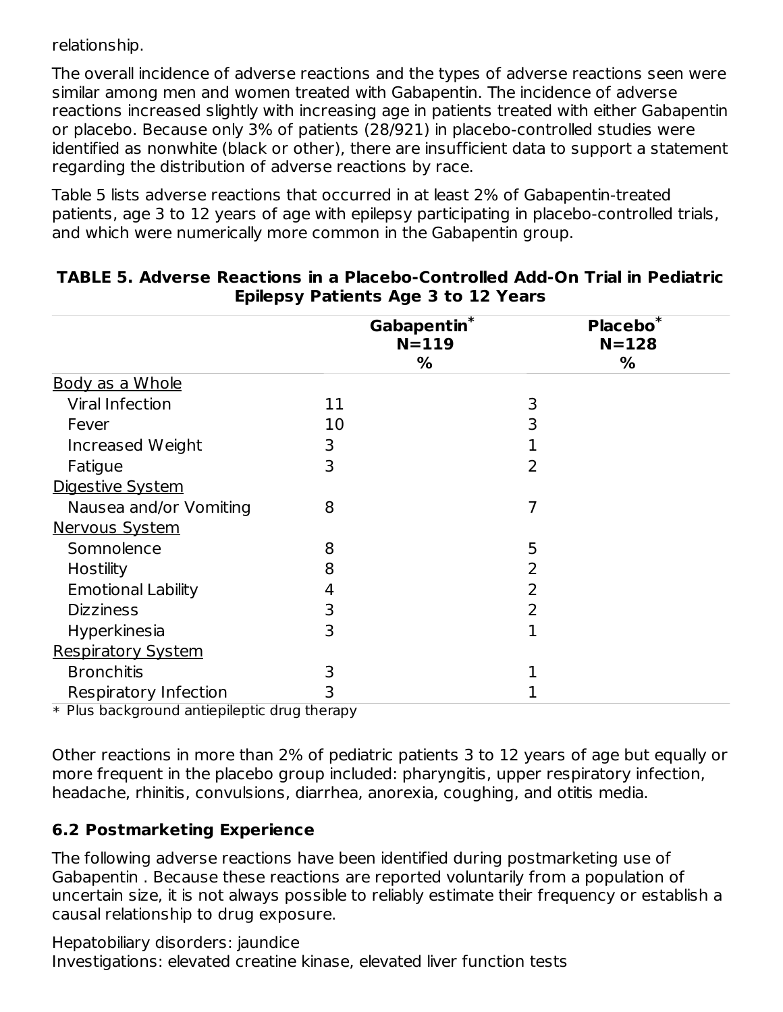relationship.

The overall incidence of adverse reactions and the types of adverse reactions seen were similar among men and women treated with Gabapentin. The incidence of adverse reactions increased slightly with increasing age in patients treated with either Gabapentin or placebo. Because only 3% of patients (28/921) in placebo-controlled studies were identified as nonwhite (black or other), there are insufficient data to support a statement regarding the distribution of adverse reactions by race.

Table 5 lists adverse reactions that occurred in at least 2% of Gabapentin-treated patients, age 3 to 12 years of age with epilepsy participating in placebo-controlled trials, and which were numerically more common in the Gabapentin group.

|                           | Gabapentin*<br>$N = 119$<br>% | Placebo $\overline{A}$<br>$N = 128$<br>% |
|---------------------------|-------------------------------|------------------------------------------|
| Body as a Whole           |                               |                                          |
| <b>Viral Infection</b>    | 11                            | 3                                        |
| Fever                     | 10                            | 3                                        |
| Increased Weight          | 3                             |                                          |
| Fatigue                   | 3                             | 2                                        |
| Digestive System          |                               |                                          |
| Nausea and/or Vomiting    | 8                             |                                          |
| <b>Nervous System</b>     |                               |                                          |
| Somnolence                | 8                             | 5                                        |
| Hostility                 | 8                             | 2                                        |
| <b>Emotional Lability</b> | 4                             | 2                                        |
| <b>Dizziness</b>          | 3                             | 2                                        |
| Hyperkinesia              | 3                             | 1                                        |
| <b>Respiratory System</b> |                               |                                          |
| <b>Bronchitis</b>         | 3                             |                                          |
| Respiratory Infection     | 3                             |                                          |

#### **TABLE 5. Adverse Reactions in a Placebo-Controlled Add-On Trial in Pediatric Epilepsy Patients Age 3 to 12 Years**

\* Plus background antiepileptic drug therapy

Other reactions in more than 2% of pediatric patients 3 to 12 years of age but equally or more frequent in the placebo group included: pharyngitis, upper respiratory infection, headache, rhinitis, convulsions, diarrhea, anorexia, coughing, and otitis media.

### **6.2 Postmarketing Experience**

The following adverse reactions have been identified during postmarketing use of Gabapentin . Because these reactions are reported voluntarily from a population of uncertain size, it is not always possible to reliably estimate their frequency or establish a causal relationship to drug exposure.

Hepatobiliary disorders: jaundice Investigations: elevated creatine kinase, elevated liver function tests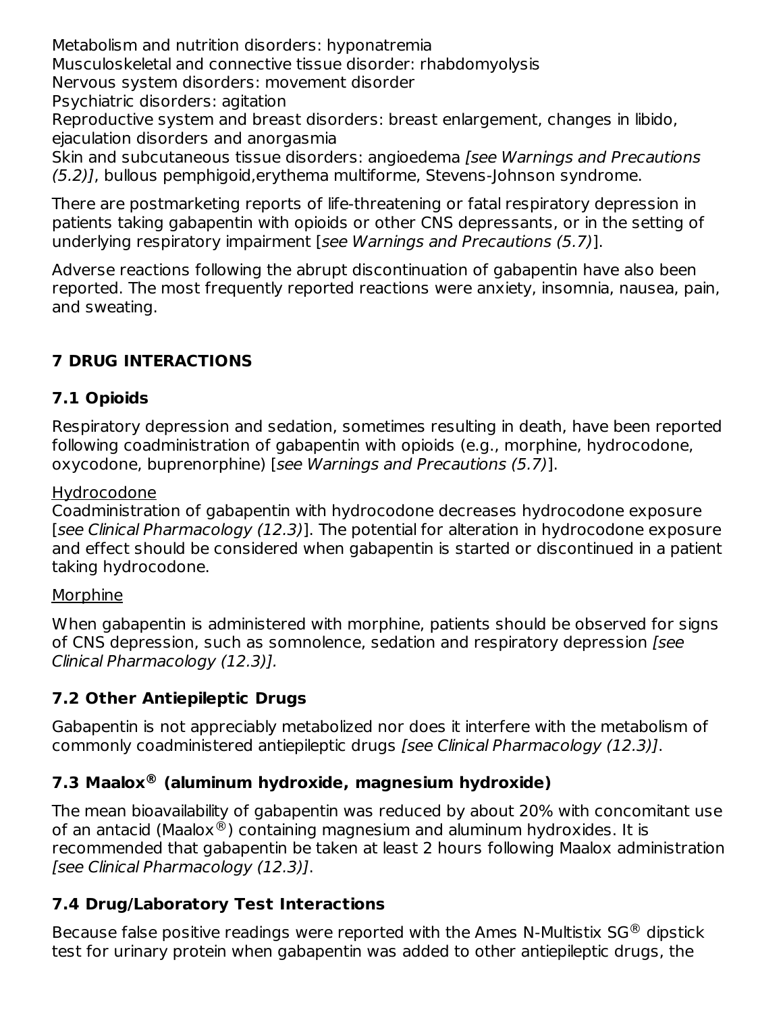Metabolism and nutrition disorders: hyponatremia Musculoskeletal and connective tissue disorder: rhabdomyolysis Nervous system disorders: movement disorder Psychiatric disorders: agitation Reproductive system and breast disorders: breast enlargement, changes in libido, ejaculation disorders and anorgasmia Skin and subcutaneous tissue disorders: angioedema [see Warnings and Precautions (5.2)], bullous pemphigoid,erythema multiforme, Stevens-Johnson syndrome.

There are postmarketing reports of life-threatening or fatal respiratory depression in patients taking gabapentin with opioids or other CNS depressants, or in the setting of underlying respiratory impairment [see Warnings and Precautions (5.7)].

Adverse reactions following the abrupt discontinuation of gabapentin have also been reported. The most frequently reported reactions were anxiety, insomnia, nausea, pain, and sweating.

# **7 DRUG INTERACTIONS**

### **7.1 Opioids**

Respiratory depression and sedation, sometimes resulting in death, have been reported following coadministration of gabapentin with opioids (e.g., morphine, hydrocodone, oxycodone, buprenorphine) [see Warnings and Precautions (5.7)].

#### Hydrocodone

Coadministration of gabapentin with hydrocodone decreases hydrocodone exposure [see Clinical Pharmacology (12.3)]. The potential for alteration in hydrocodone exposure and effect should be considered when gabapentin is started or discontinued in a patient taking hydrocodone.

#### Morphine

When gabapentin is administered with morphine, patients should be observed for signs of CNS depression, such as somnolence, sedation and respiratory depression [see Clinical Pharmacology (12.3)].

# **7.2 Other Antiepileptic Drugs**

Gabapentin is not appreciably metabolized nor does it interfere with the metabolism of commonly coadministered antiepileptic drugs [see Clinical Pharmacology (12.3)].

# **7.3 Maalox (aluminum hydroxide, magnesium hydroxide) ®**

The mean bioavailability of gabapentin was reduced by about 20% with concomitant use of an antacid (Maalox $^\circledR$ ) containing magnesium and aluminum hydroxides. It is recommended that gabapentin be taken at least 2 hours following Maalox administration [see Clinical Pharmacology (12.3)].

# **7.4 Drug/Laboratory Test Interactions**

Because false positive readings were reported with the Ames N-Multistix SG $^{\circledR}$  dipstick test for urinary protein when gabapentin was added to other antiepileptic drugs, the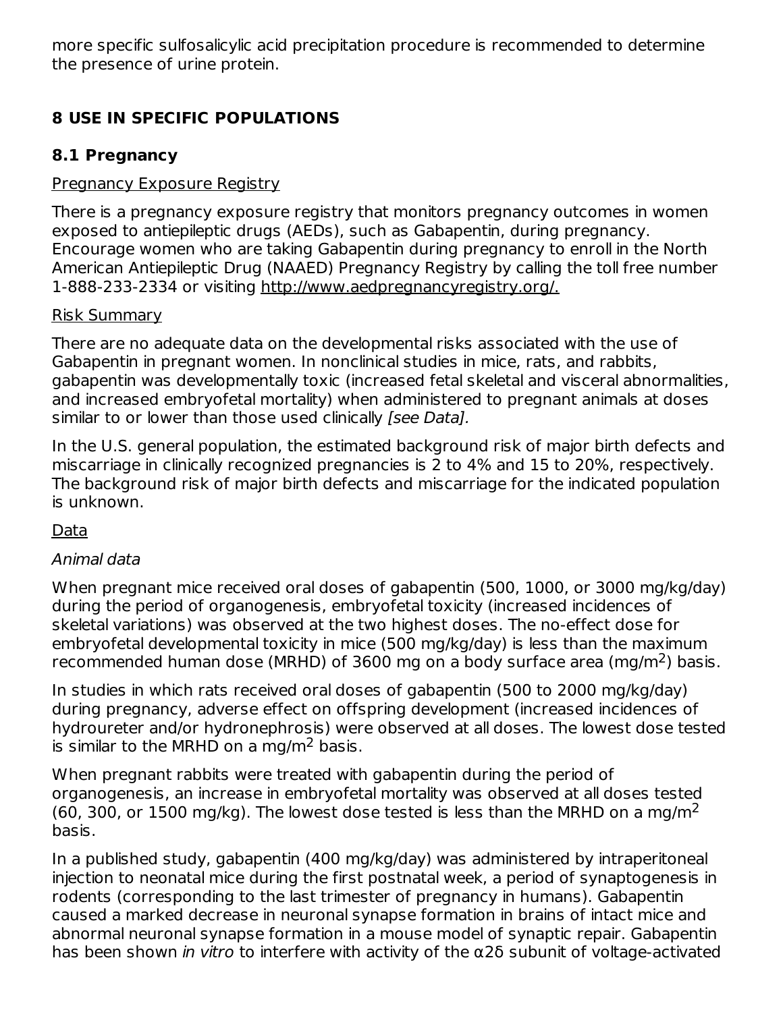more specific sulfosalicylic acid precipitation procedure is recommended to determine the presence of urine protein.

# **8 USE IN SPECIFIC POPULATIONS**

### **8.1 Pregnancy**

#### Pregnancy Exposure Registry

There is a pregnancy exposure registry that monitors pregnancy outcomes in women exposed to antiepileptic drugs (AEDs), such as Gabapentin, during pregnancy. Encourage women who are taking Gabapentin during pregnancy to enroll in the North American Antiepileptic Drug (NAAED) Pregnancy Registry by calling the toll free number 1-888-233-2334 or visiting http://www.aedpregnancyregistry.org/.

#### Risk Summary

There are no adequate data on the developmental risks associated with the use of Gabapentin in pregnant women. In nonclinical studies in mice, rats, and rabbits, gabapentin was developmentally toxic (increased fetal skeletal and visceral abnormalities, and increased embryofetal mortality) when administered to pregnant animals at doses similar to or lower than those used clinically [see Data].

In the U.S. general population, the estimated background risk of major birth defects and miscarriage in clinically recognized pregnancies is 2 to 4% and 15 to 20%, respectively. The background risk of major birth defects and miscarriage for the indicated population is unknown.

### Data

### Animal data

When pregnant mice received oral doses of gabapentin (500, 1000, or 3000 mg/kg/day) during the period of organogenesis, embryofetal toxicity (increased incidences of skeletal variations) was observed at the two highest doses. The no-effect dose for embryofetal developmental toxicity in mice (500 mg/kg/day) is less than the maximum recommended human dose (MRHD) of 3600 mg on a body surface area (mg/m<sup>2</sup>) basis.

In studies in which rats received oral doses of gabapentin (500 to 2000 mg/kg/day) during pregnancy, adverse effect on offspring development (increased incidences of hydroureter and/or hydronephrosis) were observed at all doses. The lowest dose tested is similar to the MRHD on a mg/m $^2$  basis.

When pregnant rabbits were treated with gabapentin during the period of organogenesis, an increase in embryofetal mortality was observed at all doses tested (60, 300, or 1500 mg/kg). The lowest dose tested is less than the MRHD on a mg/m<sup>2</sup> basis.

In a published study, gabapentin (400 mg/kg/day) was administered by intraperitoneal injection to neonatal mice during the first postnatal week, a period of synaptogenesis in rodents (corresponding to the last trimester of pregnancy in humans). Gabapentin caused a marked decrease in neuronal synapse formation in brains of intact mice and abnormal neuronal synapse formation in a mouse model of synaptic repair. Gabapentin has been shown in vitro to interfere with activity of the  $\alpha$ 26 subunit of voltage-activated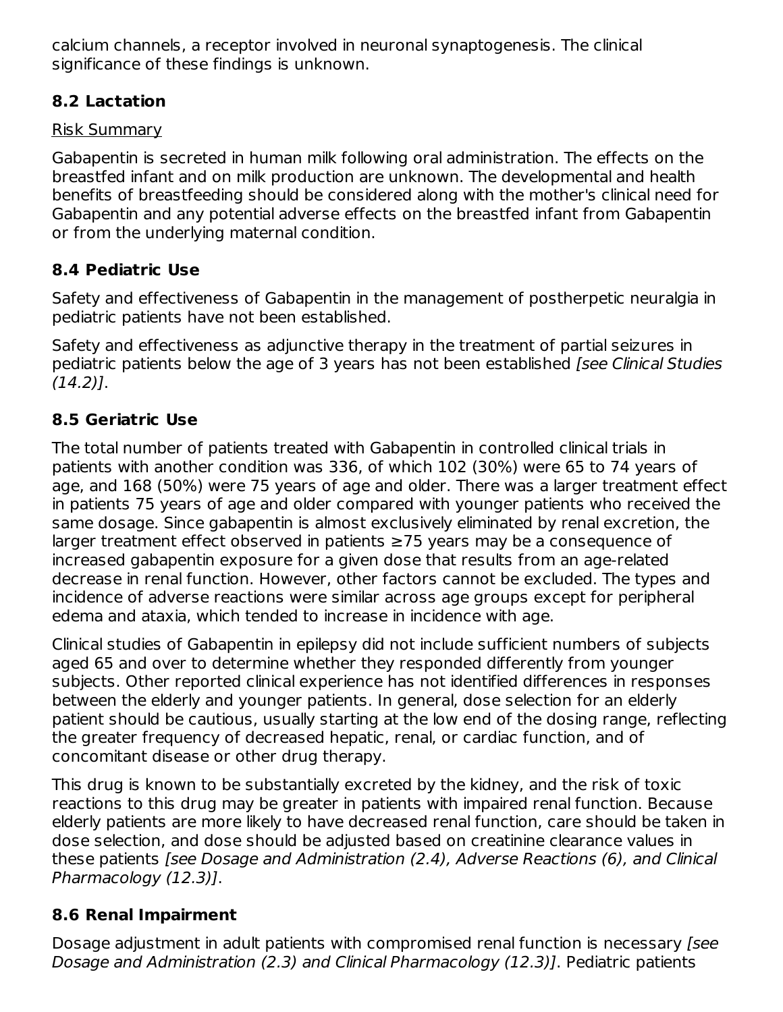calcium channels, a receptor involved in neuronal synaptogenesis. The clinical significance of these findings is unknown.

# **8.2 Lactation**

### Risk Summary

Gabapentin is secreted in human milk following oral administration. The effects on the breastfed infant and on milk production are unknown. The developmental and health benefits of breastfeeding should be considered along with the mother's clinical need for Gabapentin and any potential adverse effects on the breastfed infant from Gabapentin or from the underlying maternal condition.

# **8.4 Pediatric Use**

Safety and effectiveness of Gabapentin in the management of postherpetic neuralgia in pediatric patients have not been established.

Safety and effectiveness as adjunctive therapy in the treatment of partial seizures in pediatric patients below the age of 3 years has not been established [see Clinical Studies  $(14.2)$ ].

# **8.5 Geriatric Use**

The total number of patients treated with Gabapentin in controlled clinical trials in patients with another condition was 336, of which 102 (30%) were 65 to 74 years of age, and 168 (50%) were 75 years of age and older. There was a larger treatment effect in patients 75 years of age and older compared with younger patients who received the same dosage. Since gabapentin is almost exclusively eliminated by renal excretion, the larger treatment effect observed in patients ≥75 years may be a consequence of increased gabapentin exposure for a given dose that results from an age-related decrease in renal function. However, other factors cannot be excluded. The types and incidence of adverse reactions were similar across age groups except for peripheral edema and ataxia, which tended to increase in incidence with age.

Clinical studies of Gabapentin in epilepsy did not include sufficient numbers of subjects aged 65 and over to determine whether they responded differently from younger subjects. Other reported clinical experience has not identified differences in responses between the elderly and younger patients. In general, dose selection for an elderly patient should be cautious, usually starting at the low end of the dosing range, reflecting the greater frequency of decreased hepatic, renal, or cardiac function, and of concomitant disease or other drug therapy.

This drug is known to be substantially excreted by the kidney, and the risk of toxic reactions to this drug may be greater in patients with impaired renal function. Because elderly patients are more likely to have decreased renal function, care should be taken in dose selection, and dose should be adjusted based on creatinine clearance values in these patients [see Dosage and Administration (2.4), Adverse Reactions (6), and Clinical Pharmacology (12.3)].

# **8.6 Renal Impairment**

Dosage adjustment in adult patients with compromised renal function is necessary [see Dosage and Administration (2.3) and Clinical Pharmacology (12.3)]. Pediatric patients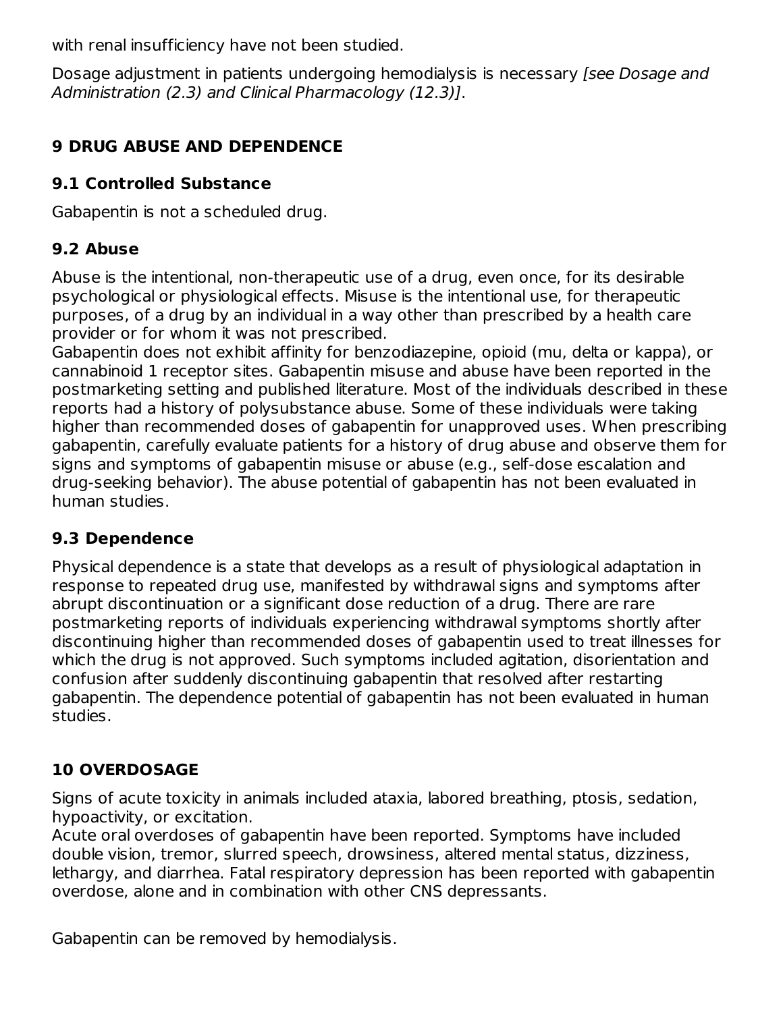with renal insufficiency have not been studied.

Dosage adjustment in patients undergoing hemodialysis is necessary (see Dosage and Administration (2.3) and Clinical Pharmacology (12.3)].

# **9 DRUG ABUSE AND DEPENDENCE**

### **9.1 Controlled Substance**

Gabapentin is not a scheduled drug.

# **9.2 Abuse**

Abuse is the intentional, non-therapeutic use of a drug, even once, for its desirable psychological or physiological effects. Misuse is the intentional use, for therapeutic purposes, of a drug by an individual in a way other than prescribed by a health care provider or for whom it was not prescribed.

Gabapentin does not exhibit affinity for benzodiazepine, opioid (mu, delta or kappa), or cannabinoid 1 receptor sites. Gabapentin misuse and abuse have been reported in the postmarketing setting and published literature. Most of the individuals described in these reports had a history of polysubstance abuse. Some of these individuals were taking higher than recommended doses of gabapentin for unapproved uses. When prescribing gabapentin, carefully evaluate patients for a history of drug abuse and observe them for signs and symptoms of gabapentin misuse or abuse (e.g., self-dose escalation and drug-seeking behavior). The abuse potential of gabapentin has not been evaluated in human studies.

# **9.3 Dependence**

Physical dependence is a state that develops as a result of physiological adaptation in response to repeated drug use, manifested by withdrawal signs and symptoms after abrupt discontinuation or a significant dose reduction of a drug. There are rare postmarketing reports of individuals experiencing withdrawal symptoms shortly after discontinuing higher than recommended doses of gabapentin used to treat illnesses for which the drug is not approved. Such symptoms included agitation, disorientation and confusion after suddenly discontinuing gabapentin that resolved after restarting gabapentin. The dependence potential of gabapentin has not been evaluated in human studies.

# **10 OVERDOSAGE**

Signs of acute toxicity in animals included ataxia, labored breathing, ptosis, sedation, hypoactivity, or excitation.

Acute oral overdoses of gabapentin have been reported. Symptoms have included double vision, tremor, slurred speech, drowsiness, altered mental status, dizziness, lethargy, and diarrhea. Fatal respiratory depression has been reported with gabapentin overdose, alone and in combination with other CNS depressants.

Gabapentin can be removed by hemodialysis.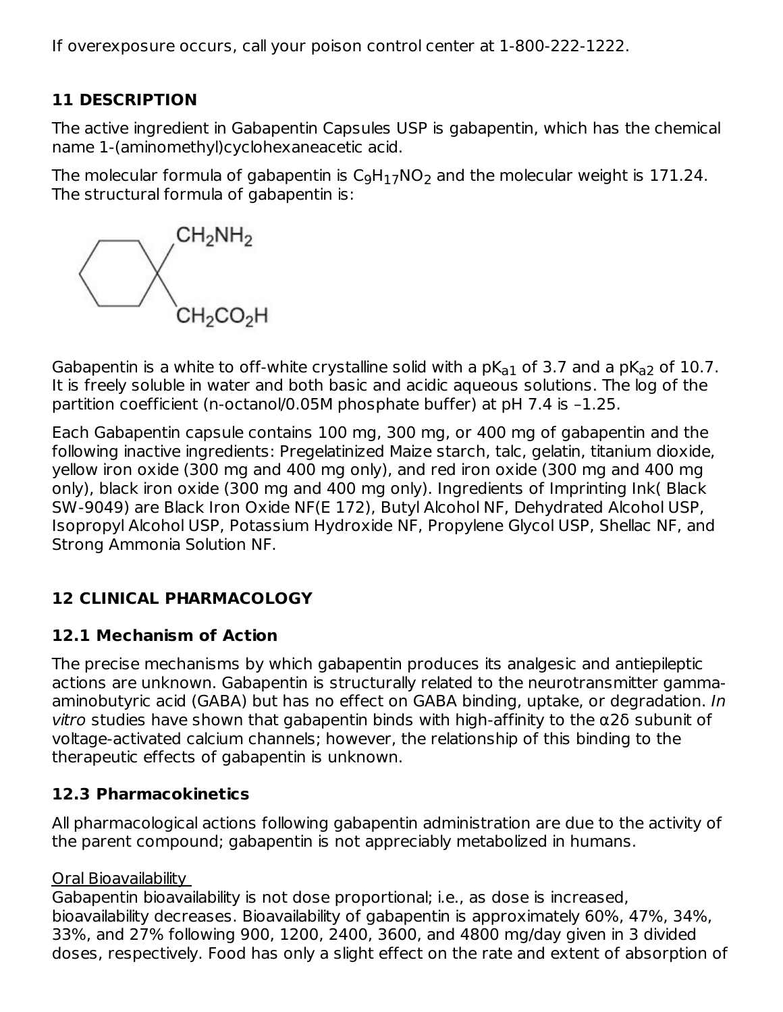If overexposure occurs, call your poison control center at 1-800-222-1222.

### **11 DESCRIPTION**

The active ingredient in Gabapentin Capsules USP is gabapentin, which has the chemical name 1-(aminomethyl)cyclohexaneacetic acid.

The molecular formula of gabapentin is  $\mathsf{C}_9\mathsf{H}_{17}\mathsf{NO}_2$  and the molecular weight is 171.24. The structural formula of gabapentin is:



Gabapentin is a white to off-white crystalline solid with a p $\mathsf{K}_{\texttt{a1}}$  of 3.7 and a p $\mathsf{K}_{\texttt{a2}}$  of 10.7. It is freely soluble in water and both basic and acidic aqueous solutions. The log of the partition coefficient (n-octanol/0.05M phosphate buffer) at pH 7.4 is –1.25.

Each Gabapentin capsule contains 100 mg, 300 mg, or 400 mg of gabapentin and the following inactive ingredients: Pregelatinized Maize starch, talc, gelatin, titanium dioxide, yellow iron oxide (300 mg and 400 mg only), and red iron oxide (300 mg and 400 mg only), black iron oxide (300 mg and 400 mg only). Ingredients of Imprinting Ink( Black SW-9049) are Black Iron Oxide NF(E 172), Butyl Alcohol NF, Dehydrated Alcohol USP, Isopropyl Alcohol USP, Potassium Hydroxide NF, Propylene Glycol USP, Shellac NF, and Strong Ammonia Solution NF.

# **12 CLINICAL PHARMACOLOGY**

# **12.1 Mechanism of Action**

The precise mechanisms by which gabapentin produces its analgesic and antiepileptic actions are unknown. Gabapentin is structurally related to the neurotransmitter gammaaminobutyric acid (GABA) but has no effect on GABA binding, uptake, or degradation. In vitro studies have shown that gabapentin binds with high-affinity to the α2δ subunit of voltage-activated calcium channels; however, the relationship of this binding to the therapeutic effects of gabapentin is unknown.

### **12.3 Pharmacokinetics**

All pharmacological actions following gabapentin administration are due to the activity of the parent compound; gabapentin is not appreciably metabolized in humans.

#### Oral Bioavailability

Gabapentin bioavailability is not dose proportional; i.e., as dose is increased, bioavailability decreases. Bioavailability of gabapentin is approximately 60%, 47%, 34%, 33%, and 27% following 900, 1200, 2400, 3600, and 4800 mg/day given in 3 divided doses, respectively. Food has only a slight effect on the rate and extent of absorption of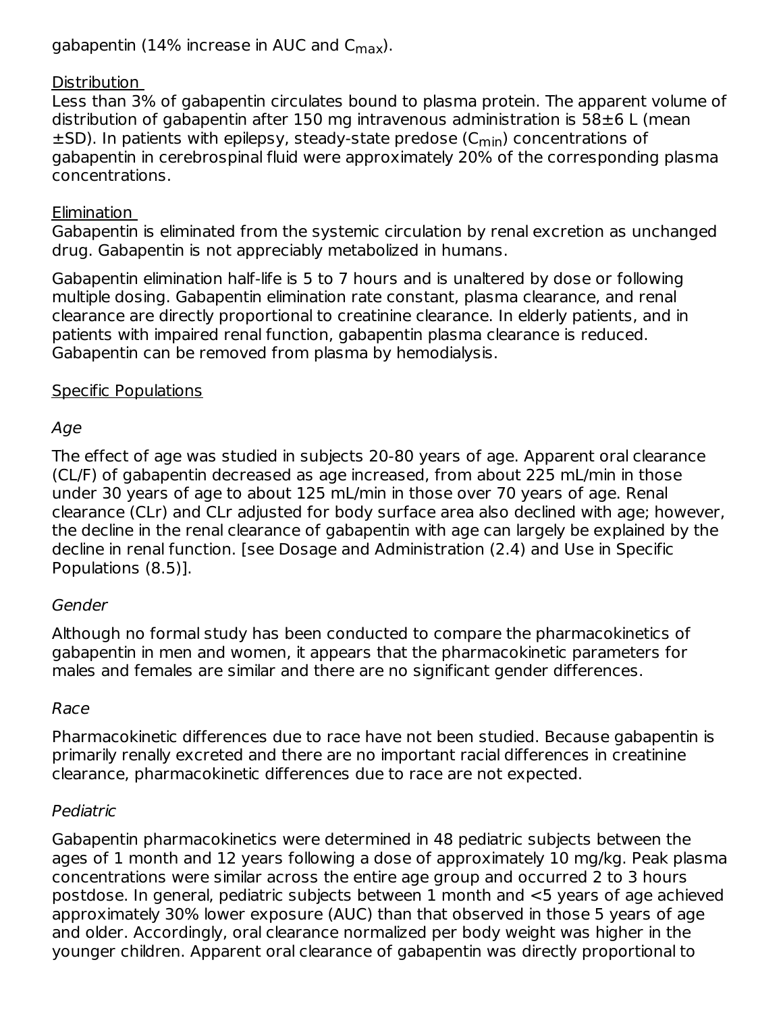gabapentin (14% increase in AUC and C<sub>max</sub>).

#### Distribution

Less than 3% of gabapentin circulates bound to plasma protein. The apparent volume of distribution of gabapentin after 150 mg intravenous administration is 58±6 L (mean  $\pm$ SD). In patients with epilepsy, steady-state predose (C $_{\sf min}$ ) concentrations of gabapentin in cerebrospinal fluid were approximately 20% of the corresponding plasma concentrations.

#### Elimination

Gabapentin is eliminated from the systemic circulation by renal excretion as unchanged drug. Gabapentin is not appreciably metabolized in humans.

Gabapentin elimination half-life is 5 to 7 hours and is unaltered by dose or following multiple dosing. Gabapentin elimination rate constant, plasma clearance, and renal clearance are directly proportional to creatinine clearance. In elderly patients, and in patients with impaired renal function, gabapentin plasma clearance is reduced. Gabapentin can be removed from plasma by hemodialysis.

#### Specific Populations

### Age

The effect of age was studied in subjects 20-80 years of age. Apparent oral clearance (CL/F) of gabapentin decreased as age increased, from about 225 mL/min in those under 30 years of age to about 125 mL/min in those over 70 years of age. Renal clearance (CLr) and CLr adjusted for body surface area also declined with age; however, the decline in the renal clearance of gabapentin with age can largely be explained by the decline in renal function. [see Dosage and Administration (2.4) and Use in Specific Populations (8.5)].

#### Gender

Although no formal study has been conducted to compare the pharmacokinetics of gabapentin in men and women, it appears that the pharmacokinetic parameters for males and females are similar and there are no significant gender differences.

### Race

Pharmacokinetic differences due to race have not been studied. Because gabapentin is primarily renally excreted and there are no important racial differences in creatinine clearance, pharmacokinetic differences due to race are not expected.

### Pediatric

Gabapentin pharmacokinetics were determined in 48 pediatric subjects between the ages of 1 month and 12 years following a dose of approximately 10 mg/kg. Peak plasma concentrations were similar across the entire age group and occurred 2 to 3 hours postdose. In general, pediatric subjects between 1 month and <5 years of age achieved approximately 30% lower exposure (AUC) than that observed in those 5 years of age and older. Accordingly, oral clearance normalized per body weight was higher in the younger children. Apparent oral clearance of gabapentin was directly proportional to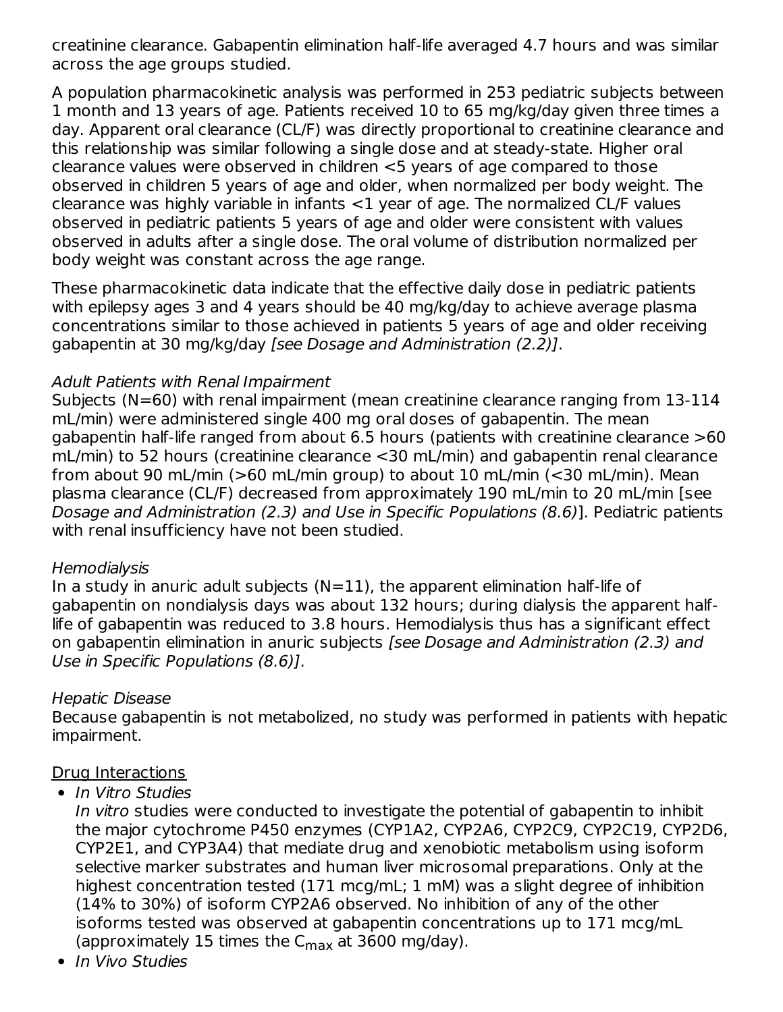creatinine clearance. Gabapentin elimination half-life averaged 4.7 hours and was similar across the age groups studied.

A population pharmacokinetic analysis was performed in 253 pediatric subjects between 1 month and 13 years of age. Patients received 10 to 65 mg/kg/day given three times a day. Apparent oral clearance (CL/F) was directly proportional to creatinine clearance and this relationship was similar following a single dose and at steady-state. Higher oral clearance values were observed in children <5 years of age compared to those observed in children 5 years of age and older, when normalized per body weight. The clearance was highly variable in infants <1 year of age. The normalized CL/F values observed in pediatric patients 5 years of age and older were consistent with values observed in adults after a single dose. The oral volume of distribution normalized per body weight was constant across the age range.

These pharmacokinetic data indicate that the effective daily dose in pediatric patients with epilepsy ages 3 and 4 years should be 40 mg/kg/day to achieve average plasma concentrations similar to those achieved in patients 5 years of age and older receiving gabapentin at 30 mg/kg/day [see Dosage and Administration (2.2)].

#### Adult Patients with Renal Impairment

Subjects (N=60) with renal impairment (mean creatinine clearance ranging from 13-114 mL/min) were administered single 400 mg oral doses of gabapentin. The mean gabapentin half-life ranged from about 6.5 hours (patients with creatinine clearance >60 mL/min) to 52 hours (creatinine clearance <30 mL/min) and gabapentin renal clearance from about 90 mL/min (>60 mL/min group) to about 10 mL/min (<30 mL/min). Mean plasma clearance (CL/F) decreased from approximately 190 mL/min to 20 mL/min [see Dosage and Administration (2.3) and Use in Specific Populations (8.6)]. Pediatric patients with renal insufficiency have not been studied.

#### Hemodialysis

In a study in anuric adult subjects  $(N=11)$ , the apparent elimination half-life of gabapentin on nondialysis days was about 132 hours; during dialysis the apparent halflife of gabapentin was reduced to 3.8 hours. Hemodialysis thus has a significant effect on gabapentin elimination in anuric subjects [see Dosage and Administration (2.3) and Use in Specific Populations (8.6)].

#### Hepatic Disease

Because gabapentin is not metabolized, no study was performed in patients with hepatic impairment.

#### Drug Interactions

• In Vitro Studies

In vitro studies were conducted to investigate the potential of gabapentin to inhibit the major cytochrome P450 enzymes (CYP1A2, CYP2A6, CYP2C9, CYP2C19, CYP2D6, CYP2E1, and CYP3A4) that mediate drug and xenobiotic metabolism using isoform selective marker substrates and human liver microsomal preparations. Only at the highest concentration tested (171 mcg/mL; 1 mM) was a slight degree of inhibition (14% to 30%) of isoform CYP2A6 observed. No inhibition of any of the other isoforms tested was observed at gabapentin concentrations up to 171 mcg/mL (approximately 15 times the  $C_{\rm max}$  at 3600 mg/day).

• In Vivo Studies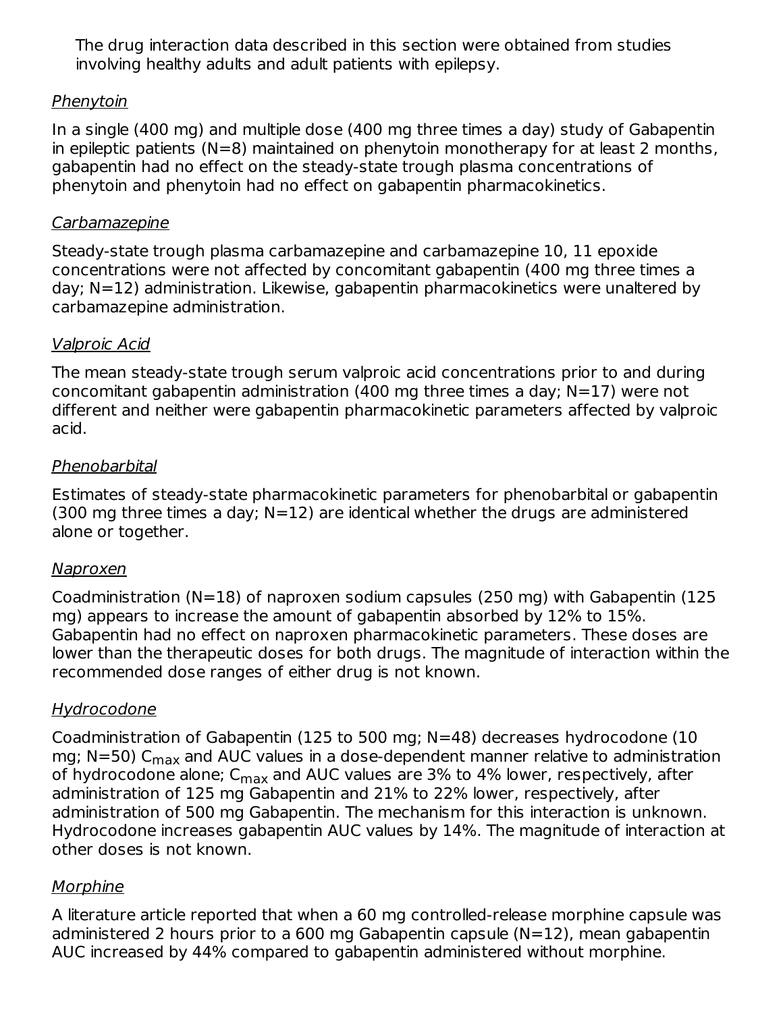The drug interaction data described in this section were obtained from studies involving healthy adults and adult patients with epilepsy.

### Phenytoin

In a single (400 mg) and multiple dose (400 mg three times a day) study of Gabapentin in epileptic patients (N=8) maintained on phenytoin monotherapy for at least 2 months, gabapentin had no effect on the steady-state trough plasma concentrations of phenytoin and phenytoin had no effect on gabapentin pharmacokinetics.

#### Carbamazepine

Steady-state trough plasma carbamazepine and carbamazepine 10, 11 epoxide concentrations were not affected by concomitant gabapentin (400 mg three times a day; N=12) administration. Likewise, gabapentin pharmacokinetics were unaltered by carbamazepine administration.

#### Valproic Acid

The mean steady-state trough serum valproic acid concentrations prior to and during concomitant gabapentin administration (400 mg three times a day; N=17) were not different and neither were gabapentin pharmacokinetic parameters affected by valproic acid.

#### Phenobarbital

Estimates of steady-state pharmacokinetic parameters for phenobarbital or gabapentin (300 mg three times a day;  $N=12$ ) are identical whether the drugs are administered alone or together.

#### Naproxen

Coadministration (N=18) of naproxen sodium capsules (250 mg) with Gabapentin (125 mg) appears to increase the amount of gabapentin absorbed by 12% to 15%. Gabapentin had no effect on naproxen pharmacokinetic parameters. These doses are lower than the therapeutic doses for both drugs. The magnitude of interaction within the recommended dose ranges of either drug is not known.

### **Hydrocodone**

Coadministration of Gabapentin (125 to 500 mg; N=48) decreases hydrocodone (10 mg; N=50)  $\mathsf{C_{max}}$  and AUC values in a dose-dependent manner relative to administration of hydrocodone alone; C<sub>max</sub> and AUC values are 3% to 4% lower, respectively, after administration of 125 mg Gabapentin and 21% to 22% lower, respectively, after administration of 500 mg Gabapentin. The mechanism for this interaction is unknown. Hydrocodone increases gabapentin AUC values by 14%. The magnitude of interaction at other doses is not known.

### **Morphine**

A literature article reported that when a 60 mg controlled-release morphine capsule was administered 2 hours prior to a 600 mg Gabapentin capsule (N=12), mean gabapentin AUC increased by 44% compared to gabapentin administered without morphine.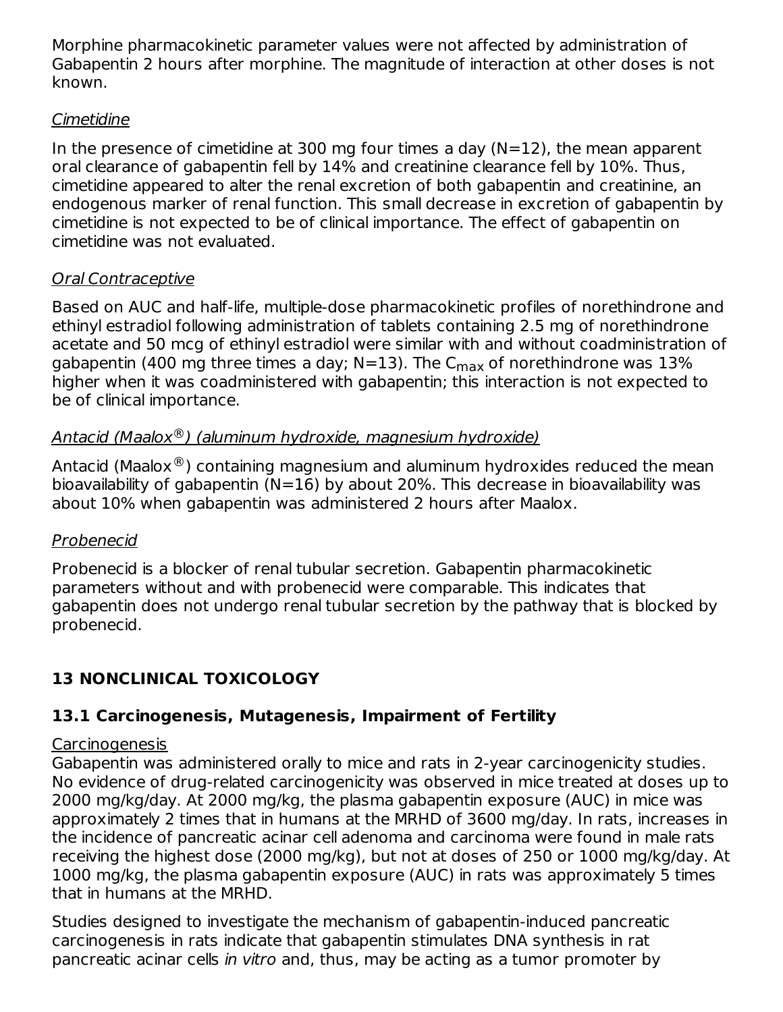Morphine pharmacokinetic parameter values were not affected by administration of Gabapentin 2 hours after morphine. The magnitude of interaction at other doses is not known.

### Cimetidine

In the presence of cimetidine at 300 mg four times a day  $(N=12)$ , the mean apparent oral clearance of gabapentin fell by 14% and creatinine clearance fell by 10%. Thus, cimetidine appeared to alter the renal excretion of both gabapentin and creatinine, an endogenous marker of renal function. This small decrease in excretion of gabapentin by cimetidine is not expected to be of clinical importance. The effect of gabapentin on cimetidine was not evaluated.

### Oral Contraceptive

Based on AUC and half-life, multiple-dose pharmacokinetic profiles of norethindrone and ethinyl estradiol following administration of tablets containing 2.5 mg of norethindrone acetate and 50 mcg of ethinyl estradiol were similar with and without coadministration of gabapentin (400 mg three times a day; N=13). The C<sub>max</sub> of norethindrone was 13% higher when it was coadministered with gabapentin; this interaction is not expected to be of clinical importance.

### <u>Antacid (Maalox®) (aluminum hydroxide, magnesium hydroxide)</u>

Antacid (Maalox $^{\circledR}$ ) containing magnesium and aluminum hydroxides reduced the mean bioavailability of gabapentin ( $N=16$ ) by about 20%. This decrease in bioavailability was about 10% when gabapentin was administered 2 hours after Maalox.

### Probenecid

Probenecid is a blocker of renal tubular secretion. Gabapentin pharmacokinetic parameters without and with probenecid were comparable. This indicates that gabapentin does not undergo renal tubular secretion by the pathway that is blocked by probenecid.

# **13 NONCLINICAL TOXICOLOGY**

# **13.1 Carcinogenesis, Mutagenesis, Impairment of Fertility**

# **Carcinogenesis**

Gabapentin was administered orally to mice and rats in 2-year carcinogenicity studies. No evidence of drug-related carcinogenicity was observed in mice treated at doses up to 2000 mg/kg/day. At 2000 mg/kg, the plasma gabapentin exposure (AUC) in mice was approximately 2 times that in humans at the MRHD of 3600 mg/day. In rats, increases in the incidence of pancreatic acinar cell adenoma and carcinoma were found in male rats receiving the highest dose (2000 mg/kg), but not at doses of 250 or 1000 mg/kg/day. At 1000 mg/kg, the plasma gabapentin exposure (AUC) in rats was approximately 5 times that in humans at the MRHD.

Studies designed to investigate the mechanism of gabapentin-induced pancreatic carcinogenesis in rats indicate that gabapentin stimulates DNA synthesis in rat pancreatic acinar cells in vitro and, thus, may be acting as a tumor promoter by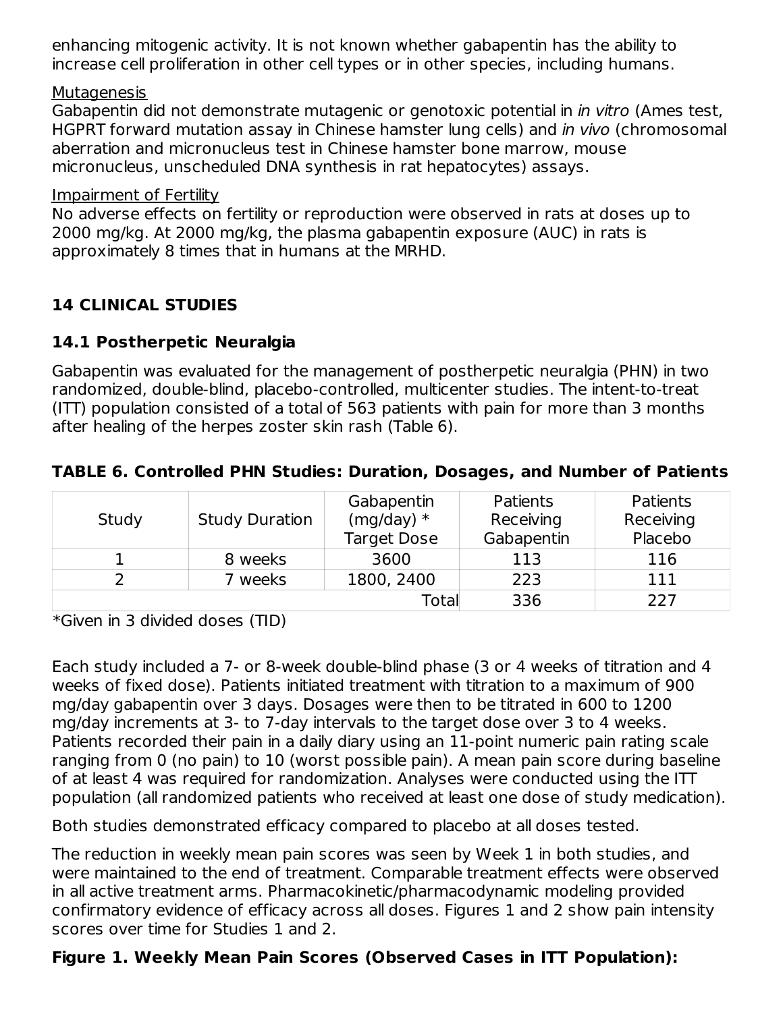enhancing mitogenic activity. It is not known whether gabapentin has the ability to increase cell proliferation in other cell types or in other species, including humans.

#### **Mutagenesis**

Gabapentin did not demonstrate mutagenic or genotoxic potential in in vitro (Ames test, HGPRT forward mutation assay in Chinese hamster lung cells) and in vivo (chromosomal aberration and micronucleus test in Chinese hamster bone marrow, mouse micronucleus, unscheduled DNA synthesis in rat hepatocytes) assays.

#### Impairment of Fertility

No adverse effects on fertility or reproduction were observed in rats at doses up to 2000 mg/kg. At 2000 mg/kg, the plasma gabapentin exposure (AUC) in rats is approximately 8 times that in humans at the MRHD.

### **14 CLINICAL STUDIES**

### **14.1 Postherpetic Neuralgia**

Gabapentin was evaluated for the management of postherpetic neuralgia (PHN) in two randomized, double-blind, placebo-controlled, multicenter studies. The intent-to-treat (ITT) population consisted of a total of 563 patients with pain for more than 3 months after healing of the herpes zoster skin rash (Table 6).

#### **TABLE 6. Controlled PHN Studies: Duration, Dosages, and Number of Patients**

|       |                       | Gabapentin         | Patients   | <b>Patients</b> |
|-------|-----------------------|--------------------|------------|-----------------|
| Study | <b>Study Duration</b> | $(mg/day)*$        |            | Receiving       |
|       |                       | <b>Target Dose</b> | Gabapentin | Placebo         |
|       | 8 weeks               | 3600               | 113        | 116             |
|       | weeks                 | 1800, 2400         | 223        | 111             |
|       |                       | Total              | 336        | 227             |

\*Given in 3 divided doses (TID)

Each study included a 7- or 8-week double-blind phase (3 or 4 weeks of titration and 4 weeks of fixed dose). Patients initiated treatment with titration to a maximum of 900 mg/day gabapentin over 3 days. Dosages were then to be titrated in 600 to 1200 mg/day increments at 3- to 7-day intervals to the target dose over 3 to 4 weeks. Patients recorded their pain in a daily diary using an 11-point numeric pain rating scale ranging from 0 (no pain) to 10 (worst possible pain). A mean pain score during baseline of at least 4 was required for randomization. Analyses were conducted using the ITT population (all randomized patients who received at least one dose of study medication).

Both studies demonstrated efficacy compared to placebo at all doses tested.

The reduction in weekly mean pain scores was seen by Week 1 in both studies, and were maintained to the end of treatment. Comparable treatment effects were observed in all active treatment arms. Pharmacokinetic/pharmacodynamic modeling provided confirmatory evidence of efficacy across all doses. Figures 1 and 2 show pain intensity scores over time for Studies 1 and 2.

### **Figure 1. Weekly Mean Pain Scores (Observed Cases in ITT Population):**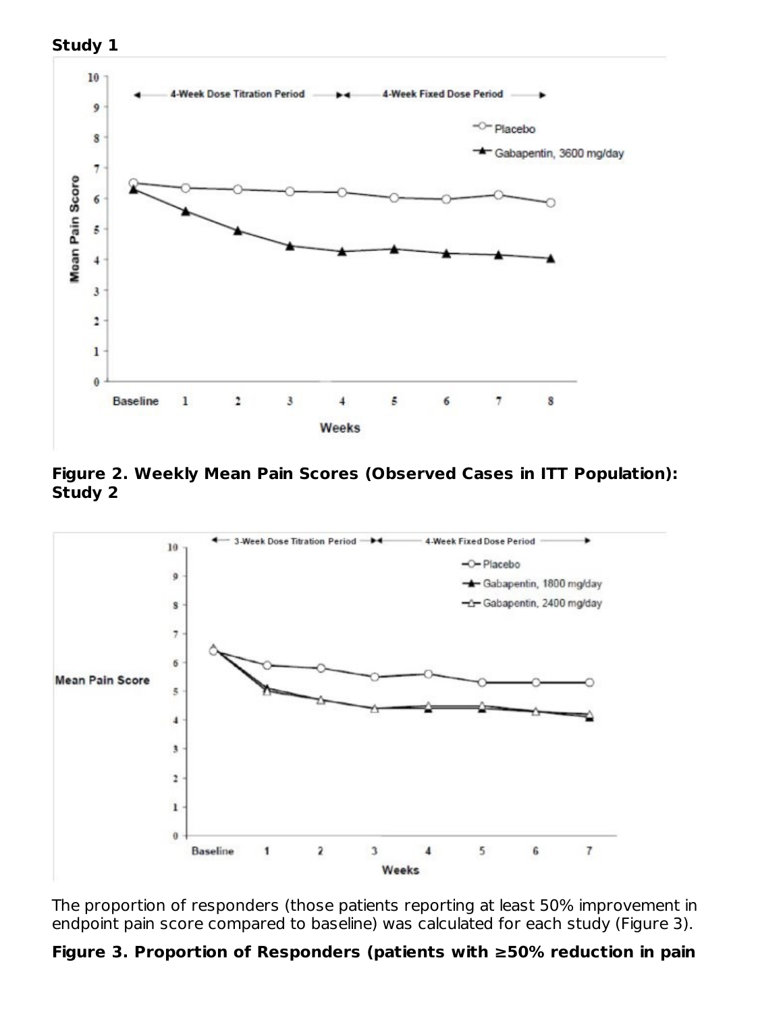



#### **Figure 2. Weekly Mean Pain Scores (Observed Cases in ITT Population): Study 2**



The proportion of responders (those patients reporting at least 50% improvement in endpoint pain score compared to baseline) was calculated for each study (Figure 3).

#### **Figure 3. Proportion of Responders (patients with ≥50% reduction in pain**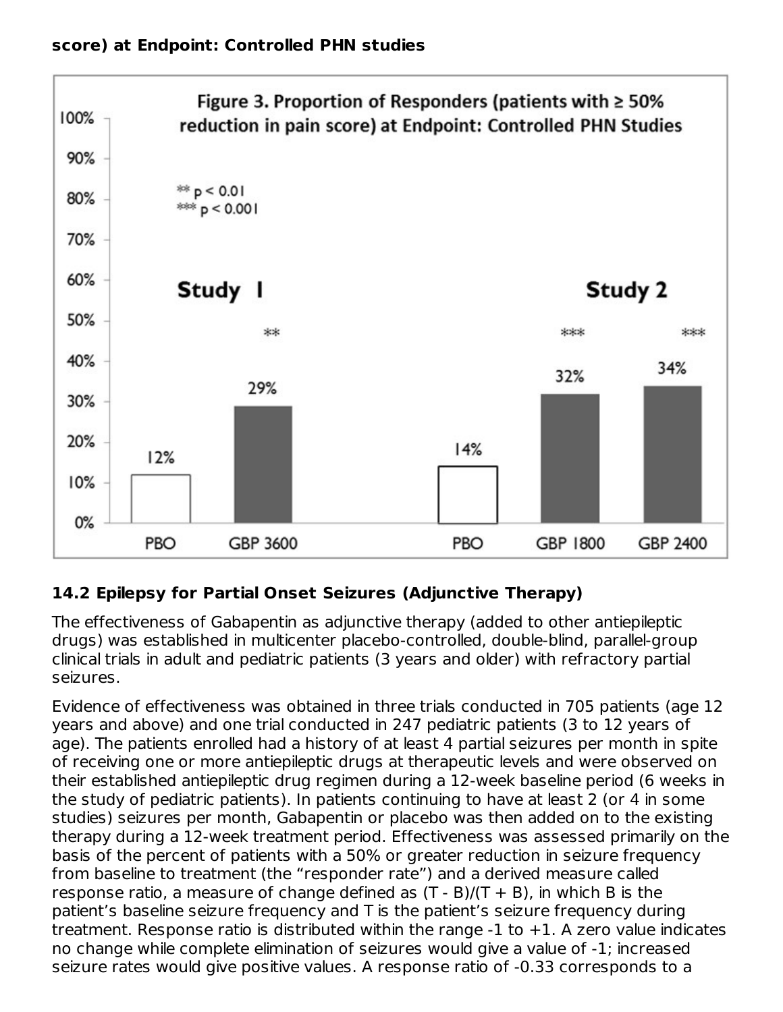

# **14.2 Epilepsy for Partial Onset Seizures (Adjunctive Therapy)**

The effectiveness of Gabapentin as adjunctive therapy (added to other antiepileptic drugs) was established in multicenter placebo-controlled, double-blind, parallel-group clinical trials in adult and pediatric patients (3 years and older) with refractory partial seizures.

Evidence of effectiveness was obtained in three trials conducted in 705 patients (age 12 years and above) and one trial conducted in 247 pediatric patients (3 to 12 years of age). The patients enrolled had a history of at least 4 partial seizures per month in spite of receiving one or more antiepileptic drugs at therapeutic levels and were observed on their established antiepileptic drug regimen during a 12-week baseline period (6 weeks in the study of pediatric patients). In patients continuing to have at least 2 (or 4 in some studies) seizures per month, Gabapentin or placebo was then added on to the existing therapy during a 12-week treatment period. Effectiveness was assessed primarily on the basis of the percent of patients with a 50% or greater reduction in seizure frequency from baseline to treatment (the "responder rate") and a derived measure called response ratio, a measure of change defined as  $(T - B)/(T + B)$ , in which B is the patient's baseline seizure frequency and T is the patient's seizure frequency during treatment. Response ratio is distributed within the range  $-1$  to  $+1$ . A zero value indicates no change while complete elimination of seizures would give a value of -1; increased seizure rates would give positive values. A response ratio of -0.33 corresponds to a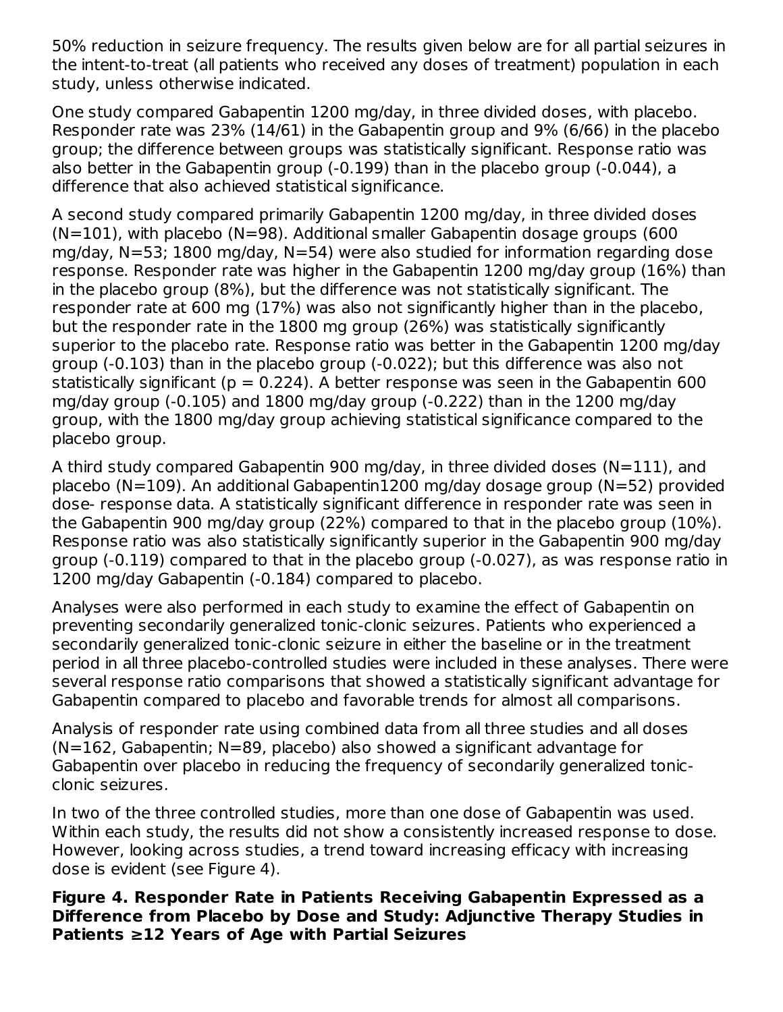50% reduction in seizure frequency. The results given below are for all partial seizures in the intent-to-treat (all patients who received any doses of treatment) population in each study, unless otherwise indicated.

One study compared Gabapentin 1200 mg/day, in three divided doses, with placebo. Responder rate was 23% (14/61) in the Gabapentin group and 9% (6/66) in the placebo group; the difference between groups was statistically significant. Response ratio was also better in the Gabapentin group (-0.199) than in the placebo group (-0.044), a difference that also achieved statistical significance.

A second study compared primarily Gabapentin 1200 mg/day, in three divided doses  $(N=101)$ , with placebo  $(N=98)$ . Additional smaller Gabapentin dosage groups (600) mg/day, N=53; 1800 mg/day, N=54) were also studied for information regarding dose response. Responder rate was higher in the Gabapentin 1200 mg/day group (16%) than in the placebo group (8%), but the difference was not statistically significant. The responder rate at 600 mg (17%) was also not significantly higher than in the placebo, but the responder rate in the 1800 mg group (26%) was statistically significantly superior to the placebo rate. Response ratio was better in the Gabapentin 1200 mg/day group (-0.103) than in the placebo group (-0.022); but this difference was also not statistically significant ( $p = 0.224$ ). A better response was seen in the Gabapentin 600 mg/day group (-0.105) and 1800 mg/day group (-0.222) than in the 1200 mg/day group, with the 1800 mg/day group achieving statistical significance compared to the placebo group.

A third study compared Gabapentin 900 mg/day, in three divided doses (N=111), and placebo (N=109). An additional Gabapentin1200 mg/day dosage group (N=52) provided dose- response data. A statistically significant difference in responder rate was seen in the Gabapentin 900 mg/day group (22%) compared to that in the placebo group (10%). Response ratio was also statistically significantly superior in the Gabapentin 900 mg/day group (-0.119) compared to that in the placebo group (-0.027), as was response ratio in 1200 mg/day Gabapentin (-0.184) compared to placebo.

Analyses were also performed in each study to examine the effect of Gabapentin on preventing secondarily generalized tonic-clonic seizures. Patients who experienced a secondarily generalized tonic-clonic seizure in either the baseline or in the treatment period in all three placebo-controlled studies were included in these analyses. There were several response ratio comparisons that showed a statistically significant advantage for Gabapentin compared to placebo and favorable trends for almost all comparisons.

Analysis of responder rate using combined data from all three studies and all doses (N=162, Gabapentin; N=89, placebo) also showed a significant advantage for Gabapentin over placebo in reducing the frequency of secondarily generalized tonicclonic seizures.

In two of the three controlled studies, more than one dose of Gabapentin was used. Within each study, the results did not show a consistently increased response to dose. However, looking across studies, a trend toward increasing efficacy with increasing dose is evident (see Figure 4).

**Figure 4. Responder Rate in Patients Receiving Gabapentin Expressed as a Difference from Placebo by Dose and Study: Adjunctive Therapy Studies in Patients ≥12 Years of Age with Partial Seizures**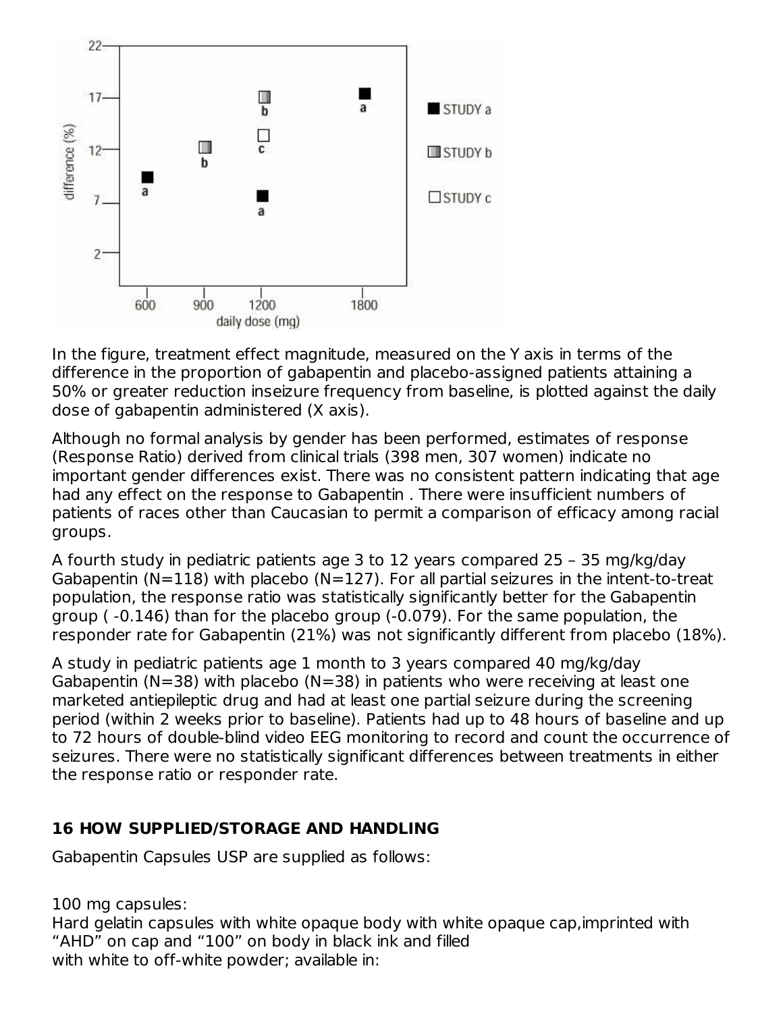

In the figure, treatment effect magnitude, measured on the Y axis in terms of the difference in the proportion of gabapentin and placebo-assigned patients attaining a 50% or greater reduction inseizure frequency from baseline, is plotted against the daily dose of gabapentin administered (X axis).

Although no formal analysis by gender has been performed, estimates of response (Response Ratio) derived from clinical trials (398 men, 307 women) indicate no important gender differences exist. There was no consistent pattern indicating that age had any effect on the response to Gabapentin . There were insufficient numbers of patients of races other than Caucasian to permit a comparison of efficacy among racial groups.

A fourth study in pediatric patients age 3 to 12 years compared 25 – 35 mg/kg/day Gabapentin (N=118) with placebo (N=127). For all partial seizures in the intent-to-treat population, the response ratio was statistically significantly better for the Gabapentin group ( -0.146) than for the placebo group (-0.079). For the same population, the responder rate for Gabapentin (21%) was not significantly different from placebo (18%).

A study in pediatric patients age 1 month to 3 years compared 40 mg/kg/day Gabapentin (N=38) with placebo (N=38) in patients who were receiving at least one marketed antiepileptic drug and had at least one partial seizure during the screening period (within 2 weeks prior to baseline). Patients had up to 48 hours of baseline and up to 72 hours of double-blind video EEG monitoring to record and count the occurrence of seizures. There were no statistically significant differences between treatments in either the response ratio or responder rate.

### **16 HOW SUPPLIED/STORAGE AND HANDLING**

Gabapentin Capsules USP are supplied as follows:

100 mg capsules: Hard gelatin capsules with white opaque body with white opaque cap,imprinted with "AHD" on cap and "100" on body in black ink and filled with white to off-white powder; available in: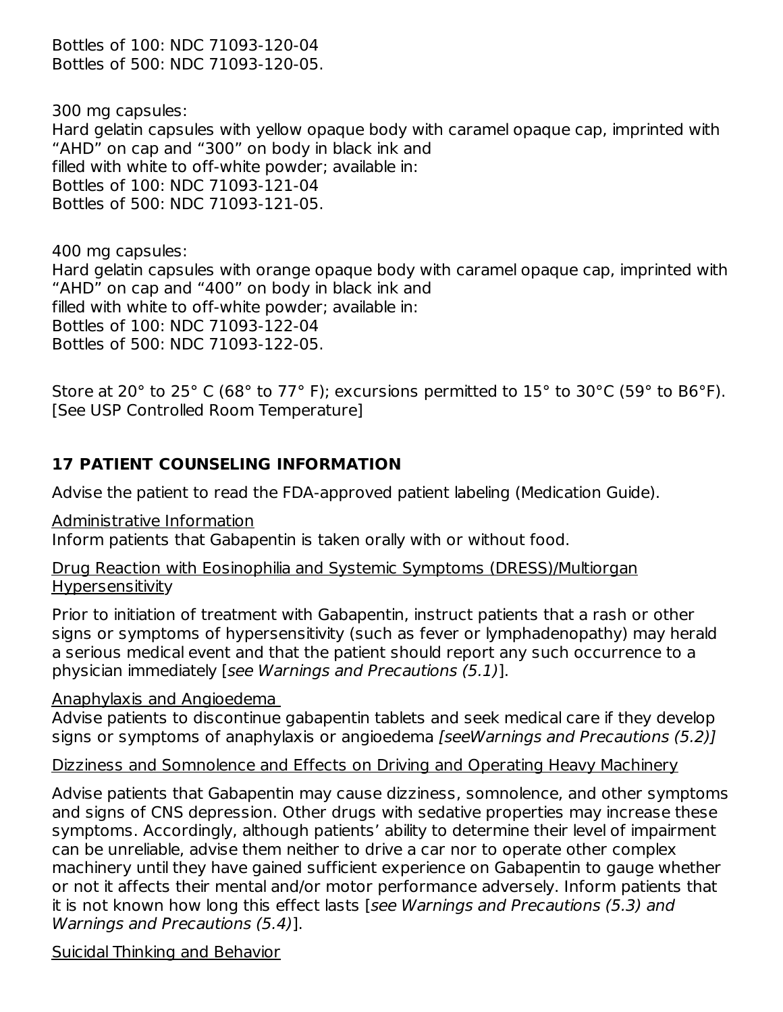Bottles of 100: NDC 71093-120-04 Bottles of 500: NDC 71093-120-05.

300 mg capsules: Hard gelatin capsules with yellow opaque body with caramel opaque cap, imprinted with "AHD" on cap and "300" on body in black ink and filled with white to off-white powder; available in: Bottles of 100: NDC 71093-121-04 Bottles of 500: NDC 71093-121-05.

400 mg capsules: Hard gelatin capsules with orange opaque body with caramel opaque cap, imprinted with "AHD" on cap and "400" on body in black ink and filled with white to off-white powder; available in: Bottles of 100: NDC 71093-122-04 Bottles of 500: NDC 71093-122-05.

Store at 20° to 25° C (68° to 77° F); excursions permitted to 15° to 30°C (59° to B6°F). [See USP Controlled Room Temperature]

### **17 PATIENT COUNSELING INFORMATION**

Advise the patient to read the FDA-approved patient labeling (Medication Guide).

Administrative Information

Inform patients that Gabapentin is taken orally with or without food.

Drug Reaction with Eosinophilia and Systemic Symptoms (DRESS)/Multiorgan **Hypersensitivity** 

Prior to initiation of treatment with Gabapentin, instruct patients that a rash or other signs or symptoms of hypersensitivity (such as fever or lymphadenopathy) may herald a serious medical event and that the patient should report any such occurrence to a physician immediately [see Warnings and Precautions (5.1)].

Anaphylaxis and Angioedema

Advise patients to discontinue gabapentin tablets and seek medical care if they develop signs or symptoms of anaphylaxis or angioedema [seeWarnings and Precautions (5.2)]

Dizziness and Somnolence and Effects on Driving and Operating Heavy Machinery

Advise patients that Gabapentin may cause dizziness, somnolence, and other symptoms and signs of CNS depression. Other drugs with sedative properties may increase these symptoms. Accordingly, although patients' ability to determine their level of impairment can be unreliable, advise them neither to drive a car nor to operate other complex machinery until they have gained sufficient experience on Gabapentin to gauge whether or not it affects their mental and/or motor performance adversely. Inform patients that it is not known how long this effect lasts [see Warnings and Precautions (5.3) and Warnings and Precautions (5.4)].

Suicidal Thinking and Behavior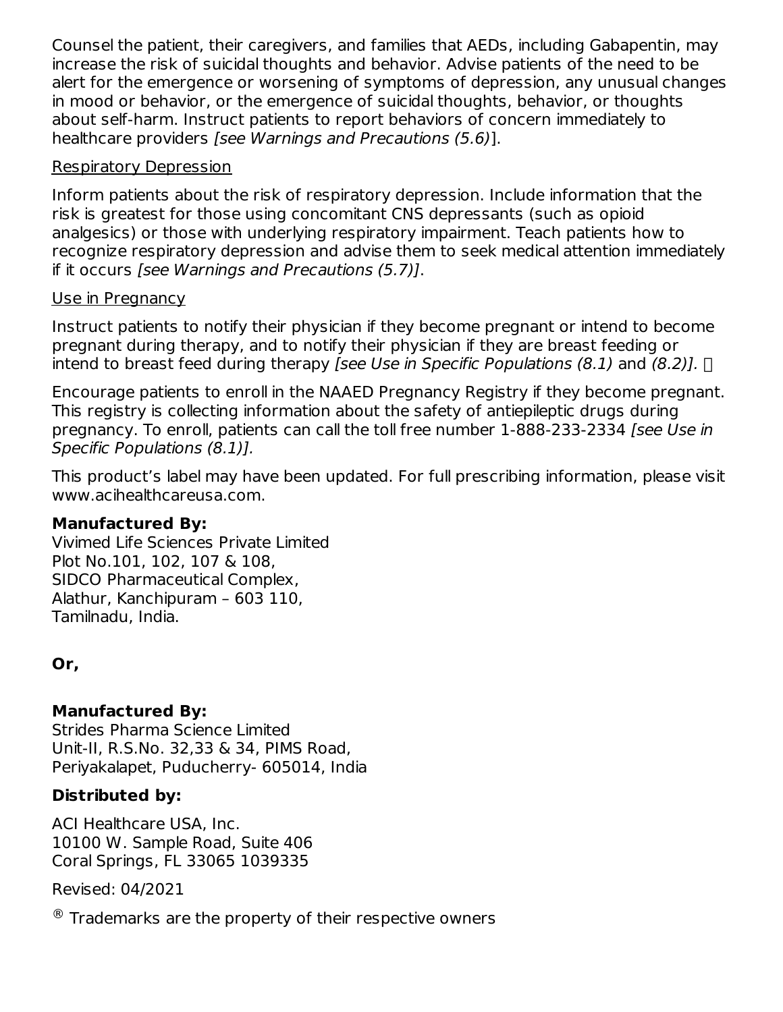Counsel the patient, their caregivers, and families that AEDs, including Gabapentin, may increase the risk of suicidal thoughts and behavior. Advise patients of the need to be alert for the emergence or worsening of symptoms of depression, any unusual changes in mood or behavior, or the emergence of suicidal thoughts, behavior, or thoughts about self-harm. Instruct patients to report behaviors of concern immediately to healthcare providers [see Warnings and Precautions (5.6)].

#### Respiratory Depression

Inform patients about the risk of respiratory depression. Include information that the risk is greatest for those using concomitant CNS depressants (such as opioid analgesics) or those with underlying respiratory impairment. Teach patients how to recognize respiratory depression and advise them to seek medical attention immediately if it occurs [see Warnings and Precautions (5.7)].

#### Use in Pregnancy

Instruct patients to notify their physician if they become pregnant or intend to become pregnant during therapy, and to notify their physician if they are breast feeding or intend to breast feed during therapy [see Use in Specific Populations (8.1) and (8.2)].  $\Box$ 

Encourage patients to enroll in the NAAED Pregnancy Registry if they become pregnant. This registry is collecting information about the safety of antiepileptic drugs during pregnancy. To enroll, patients can call the toll free number 1-888-233-2334 [see Use in Specific Populations (8.1)].

This product's label may have been updated. For full prescribing information, please visit www.acihealthcareusa.com.

### **Manufactured By:**

Vivimed Life Sciences Private Limited Plot No.101, 102, 107 & 108, SIDCO Pharmaceutical Complex, Alathur, Kanchipuram – 603 110, Tamilnadu, India.

# **Or,**

# **Manufactured By:**

Strides Pharma Science Limited Unit-II, R.S.No. 32,33 & 34, PIMS Road, Periyakalapet, Puducherry- 605014, India

# **Distributed by:**

ACI Healthcare USA, Inc. 10100 W. Sample Road, Suite 406 Coral Springs, FL 33065 1039335

Revised: 04/2021

 $\textcircled{\tiny{\textcirc}}$  Trademarks are the property of their respective owners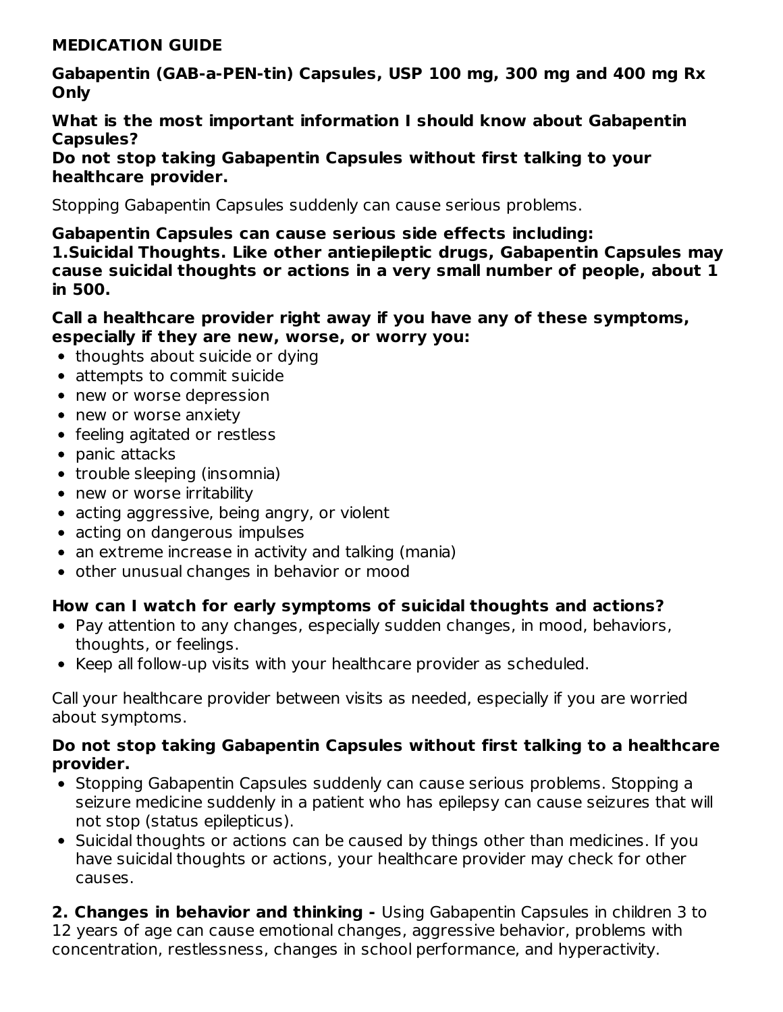#### **MEDICATION GUIDE**

**Gabapentin (GAB-a-PEN-tin) Capsules, USP 100 mg, 300 mg and 400 mg Rx Only**

**What is the most important information I should know about Gabapentin Capsules?**

**Do not stop taking Gabapentin Capsules without first talking to your healthcare provider.**

Stopping Gabapentin Capsules suddenly can cause serious problems.

**Gabapentin Capsules can cause serious side effects including: 1.Suicidal Thoughts. Like other antiepileptic drugs, Gabapentin Capsules may cause suicidal thoughts or actions in a very small number of people, about 1 in 500.**

#### **Call a healthcare provider right away if you have any of these symptoms, especially if they are new, worse, or worry you:**

- thoughts about suicide or dying
- attempts to commit suicide
- new or worse depression
- new or worse anxiety
- feeling agitated or restless
- $\bullet$  panic attacks
- trouble sleeping (insomnia)
- new or worse irritability
- acting aggressive, being angry, or violent
- acting on dangerous impulses
- an extreme increase in activity and talking (mania)
- other unusual changes in behavior or mood

#### **How can I watch for early symptoms of suicidal thoughts and actions?**

- Pay attention to any changes, especially sudden changes, in mood, behaviors, thoughts, or feelings.
- Keep all follow-up visits with your healthcare provider as scheduled.

Call your healthcare provider between visits as needed, especially if you are worried about symptoms.

#### **Do not stop taking Gabapentin Capsules without first talking to a healthcare provider.**

- Stopping Gabapentin Capsules suddenly can cause serious problems. Stopping a seizure medicine suddenly in a patient who has epilepsy can cause seizures that will not stop (status epilepticus).
- Suicidal thoughts or actions can be caused by things other than medicines. If you have suicidal thoughts or actions, your healthcare provider may check for other causes.

**2. Changes in behavior and thinking -** Using Gabapentin Capsules in children 3 to 12 years of age can cause emotional changes, aggressive behavior, problems with concentration, restlessness, changes in school performance, and hyperactivity.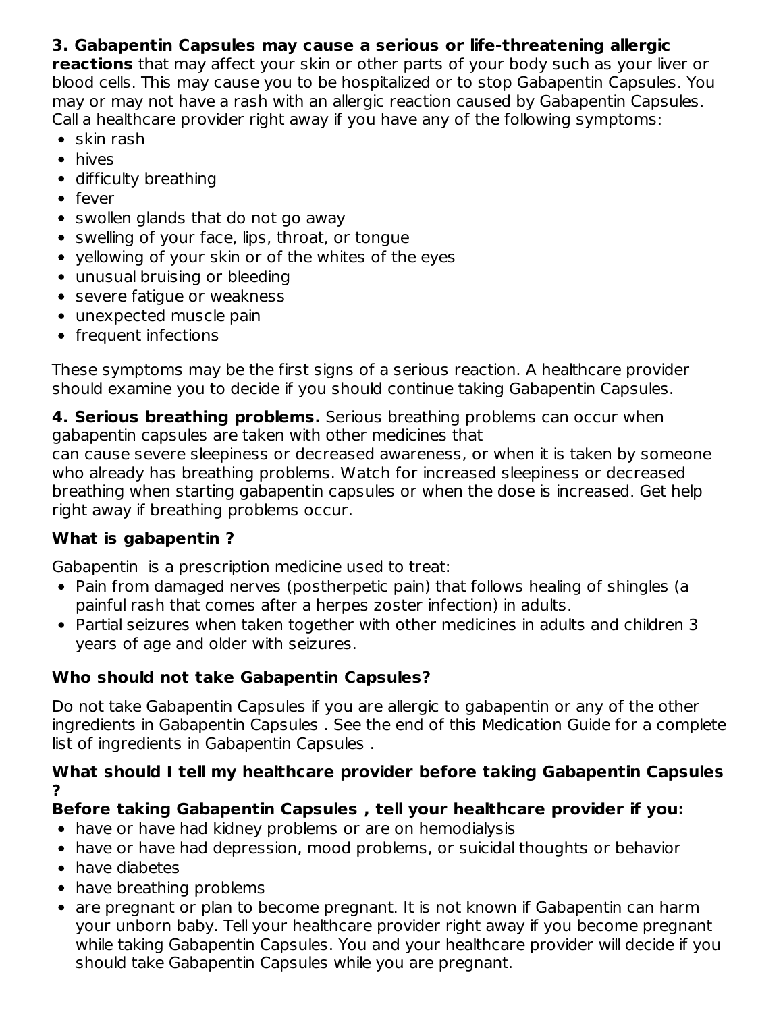### **3. Gabapentin Capsules may cause a serious or life-threatening allergic**

**reactions** that may affect your skin or other parts of your body such as your liver or blood cells. This may cause you to be hospitalized or to stop Gabapentin Capsules. You may or may not have a rash with an allergic reaction caused by Gabapentin Capsules. Call a healthcare provider right away if you have any of the following symptoms:

- $\bullet$  skin rash
- hives
- difficulty breathing
- fever
- swollen glands that do not go away
- swelling of your face, lips, throat, or tongue
- yellowing of your skin or of the whites of the eyes
- unusual bruising or bleeding
- **•** severe fatique or weakness
- unexpected muscle pain
- frequent infections

These symptoms may be the first signs of a serious reaction. A healthcare provider should examine you to decide if you should continue taking Gabapentin Capsules.

**4. Serious breathing problems.** Serious breathing problems can occur when gabapentin capsules are taken with other medicines that

can cause severe sleepiness or decreased awareness, or when it is taken by someone who already has breathing problems. Watch for increased sleepiness or decreased breathing when starting gabapentin capsules or when the dose is increased. Get help right away if breathing problems occur.

### **What is gabapentin ?**

Gabapentin is a prescription medicine used to treat:

- Pain from damaged nerves (postherpetic pain) that follows healing of shingles (a painful rash that comes after a herpes zoster infection) in adults.
- Partial seizures when taken together with other medicines in adults and children 3 years of age and older with seizures.

# **Who should not take Gabapentin Capsules?**

Do not take Gabapentin Capsules if you are allergic to gabapentin or any of the other ingredients in Gabapentin Capsules . See the end of this Medication Guide for a complete list of ingredients in Gabapentin Capsules .

#### **What should I tell my healthcare provider before taking Gabapentin Capsules ?**

### **Before taking Gabapentin Capsules , tell your healthcare provider if you:**

- have or have had kidney problems or are on hemodialysis
- have or have had depression, mood problems, or suicidal thoughts or behavior
- have diabetes
- have breathing problems
- are pregnant or plan to become pregnant. It is not known if Gabapentin can harm your unborn baby. Tell your healthcare provider right away if you become pregnant while taking Gabapentin Capsules. You and your healthcare provider will decide if you should take Gabapentin Capsules while you are pregnant.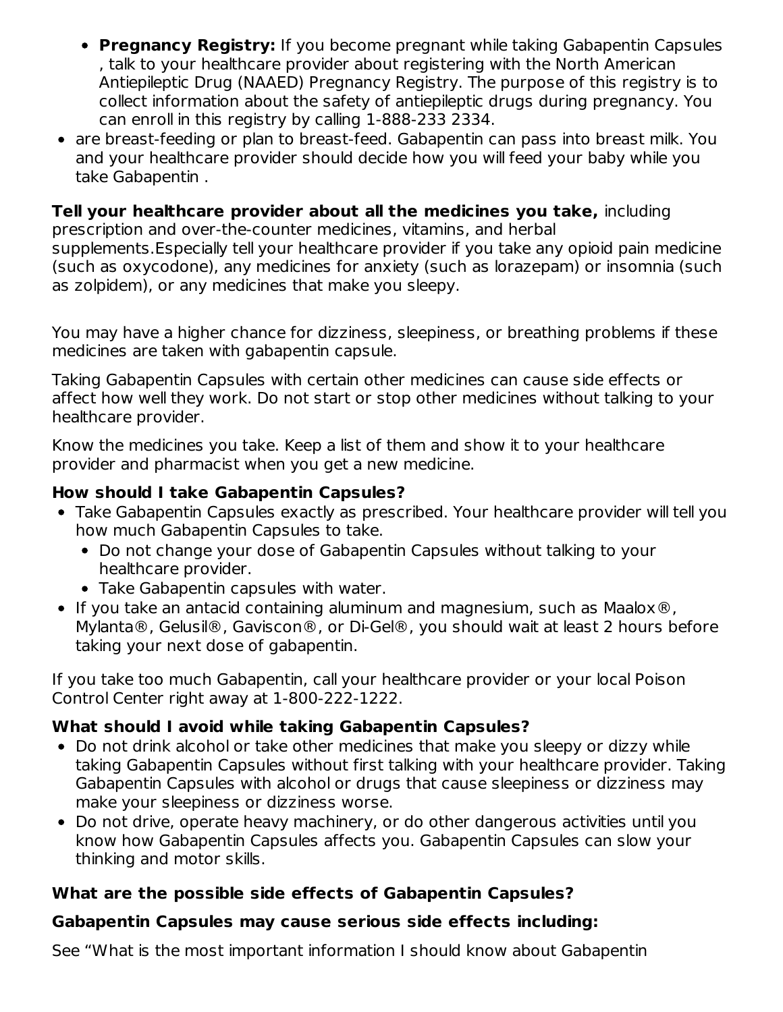- **Pregnancy Registry:** If you become pregnant while taking Gabapentin Capsules , talk to your healthcare provider about registering with the North American Antiepileptic Drug (NAAED) Pregnancy Registry. The purpose of this registry is to collect information about the safety of antiepileptic drugs during pregnancy. You can enroll in this registry by calling 1-888-233 2334.
- are breast-feeding or plan to breast-feed. Gabapentin can pass into breast milk. You and your healthcare provider should decide how you will feed your baby while you take Gabapentin .

# **Tell your healthcare provider about all the medicines you take,** including

prescription and over-the-counter medicines, vitamins, and herbal supplements.Especially tell your healthcare provider if you take any opioid pain medicine (such as oxycodone), any medicines for anxiety (such as lorazepam) or insomnia (such as zolpidem), or any medicines that make you sleepy.

You may have a higher chance for dizziness, sleepiness, or breathing problems if these medicines are taken with gabapentin capsule.

Taking Gabapentin Capsules with certain other medicines can cause side effects or affect how well they work. Do not start or stop other medicines without talking to your healthcare provider.

Know the medicines you take. Keep a list of them and show it to your healthcare provider and pharmacist when you get a new medicine.

#### **How should I take Gabapentin Capsules?**

- Take Gabapentin Capsules exactly as prescribed. Your healthcare provider will tell you how much Gabapentin Capsules to take.
	- Do not change your dose of Gabapentin Capsules without talking to your healthcare provider.
	- Take Gabapentin capsules with water.
- If you take an antacid containing aluminum and magnesium, such as Maalox $\circledR$ , Mylanta®, Gelusil®, Gaviscon®, or Di-Gel®, you should wait at least 2 hours before taking your next dose of gabapentin.

If you take too much Gabapentin, call your healthcare provider or your local Poison Control Center right away at 1-800-222-1222.

### **What should I avoid while taking Gabapentin Capsules?**

- Do not drink alcohol or take other medicines that make you sleepy or dizzy while taking Gabapentin Capsules without first talking with your healthcare provider. Taking Gabapentin Capsules with alcohol or drugs that cause sleepiness or dizziness may make your sleepiness or dizziness worse.
- Do not drive, operate heavy machinery, or do other dangerous activities until you know how Gabapentin Capsules affects you. Gabapentin Capsules can slow your thinking and motor skills.

### **What are the possible side effects of Gabapentin Capsules?**

#### **Gabapentin Capsules may cause serious side effects including:**

See "What is the most important information I should know about Gabapentin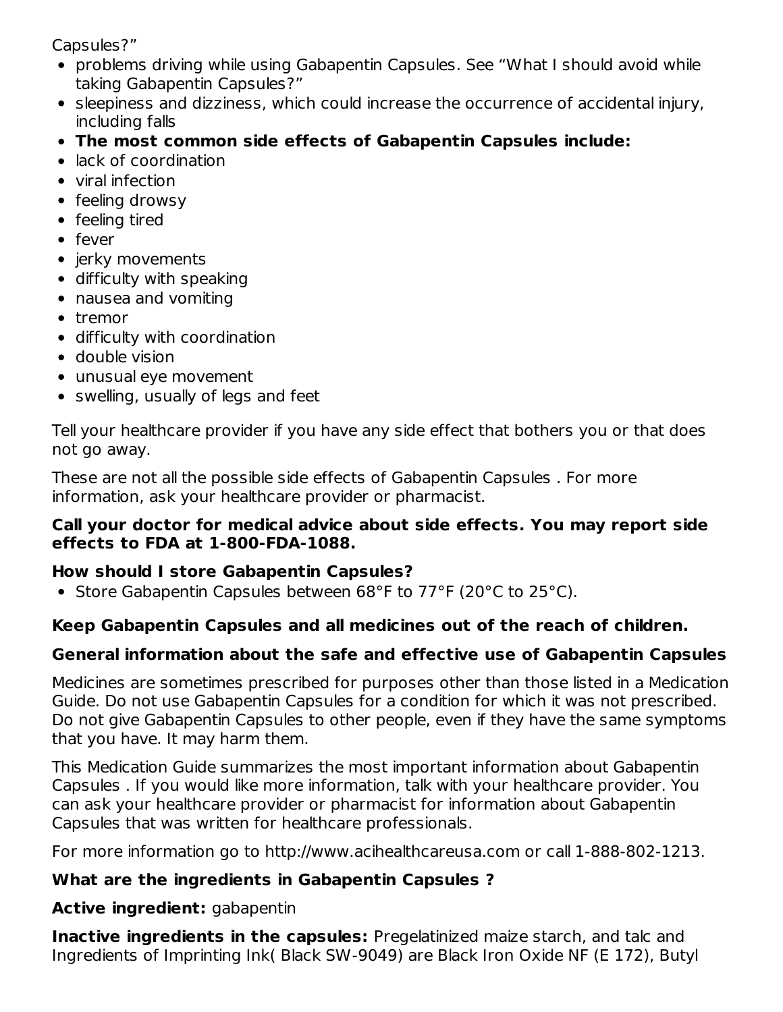Capsules?"

- problems driving while using Gabapentin Capsules. See "What I should avoid while taking Gabapentin Capsules?"
- sleepiness and dizziness, which could increase the occurrence of accidental injury, including falls
- **The most common side effects of Gabapentin Capsules include:**
- lack of coordination
- viral infection
- $\bullet$  feeling drowsy
- feeling tired
- fever
- jerky movements
- difficulty with speaking
- nausea and vomiting
- tremor
- difficulty with coordination
- double vision
- unusual eye movement
- swelling, usually of legs and feet

Tell your healthcare provider if you have any side effect that bothers you or that does not go away.

These are not all the possible side effects of Gabapentin Capsules . For more information, ask your healthcare provider or pharmacist.

#### **Call your doctor for medical advice about side effects. You may report side effects to FDA at 1-800-FDA-1088.**

# **How should I store Gabapentin Capsules?**

• Store Gabapentin Capsules between 68°F to 77°F (20°C to 25°C).

# **Keep Gabapentin Capsules and all medicines out of the reach of children.**

# **General information about the safe and effective use of Gabapentin Capsules**

Medicines are sometimes prescribed for purposes other than those listed in a Medication Guide. Do not use Gabapentin Capsules for a condition for which it was not prescribed. Do not give Gabapentin Capsules to other people, even if they have the same symptoms that you have. It may harm them.

This Medication Guide summarizes the most important information about Gabapentin Capsules . If you would like more information, talk with your healthcare provider. You can ask your healthcare provider or pharmacist for information about Gabapentin Capsules that was written for healthcare professionals.

For more information go to http://www.acihealthcareusa.com or call 1-888-802-1213.

# **What are the ingredients in Gabapentin Capsules ?**

# **Active ingredient:** gabapentin

**Inactive ingredients in the capsules:** Pregelatinized maize starch, and talc and Ingredients of Imprinting Ink( Black SW-9049) are Black Iron Oxide NF (E 172), Butyl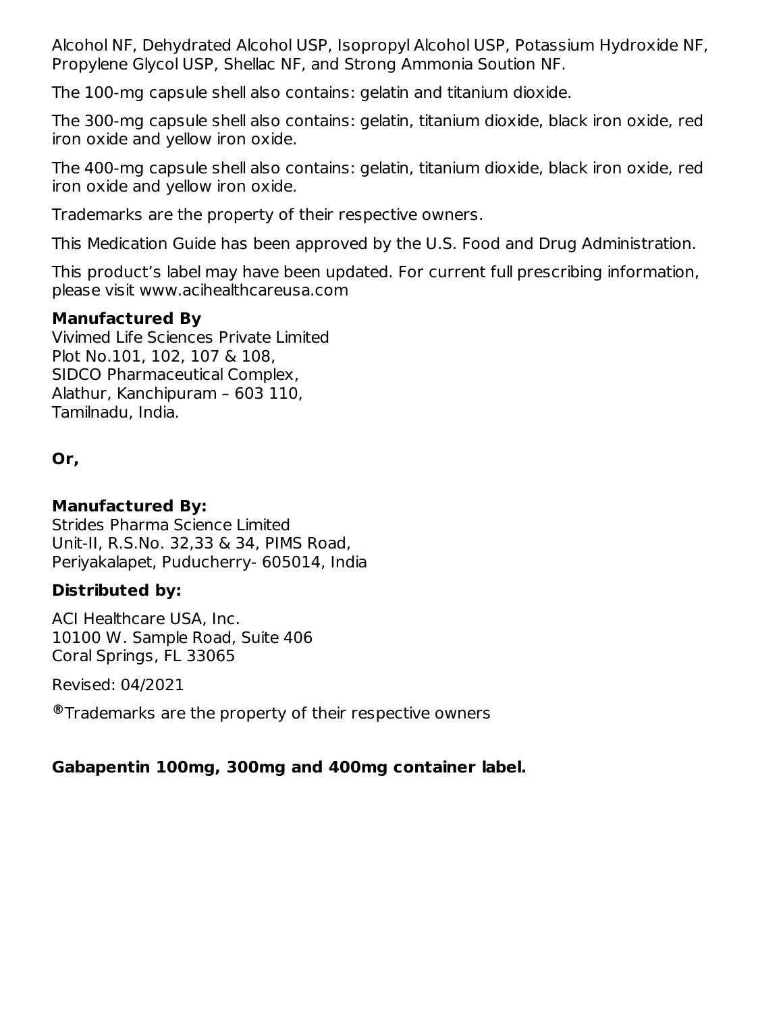Alcohol NF, Dehydrated Alcohol USP, Isopropyl Alcohol USP, Potassium Hydroxide NF, Propylene Glycol USP, Shellac NF, and Strong Ammonia Soution NF.

The 100-mg capsule shell also contains: gelatin and titanium dioxide.

The 300-mg capsule shell also contains: gelatin, titanium dioxide, black iron oxide, red iron oxide and yellow iron oxide.

The 400-mg capsule shell also contains: gelatin, titanium dioxide, black iron oxide, red iron oxide and yellow iron oxide.

Trademarks are the property of their respective owners.

This Medication Guide has been approved by the U.S. Food and Drug Administration.

This product's label may have been updated. For current full prescribing information, please visit www.acihealthcareusa.com

#### **Manufactured By**

Vivimed Life Sciences Private Limited Plot No.101, 102, 107 & 108, SIDCO Pharmaceutical Complex, Alathur, Kanchipuram – 603 110, Tamilnadu, India.

**Or,**

#### **Manufactured By:**

Strides Pharma Science Limited Unit-II, R.S.No. 32,33 & 34, PIMS Road, Periyakalapet, Puducherry- 605014, India

#### **Distributed by:**

ACI Healthcare USA, Inc. 10100 W. Sample Road, Suite 406 Coral Springs, FL 33065

Revised: 04/2021

Trademarks are the property of their respective owners **®**

### **Gabapentin 100mg, 300mg and 400mg container label.**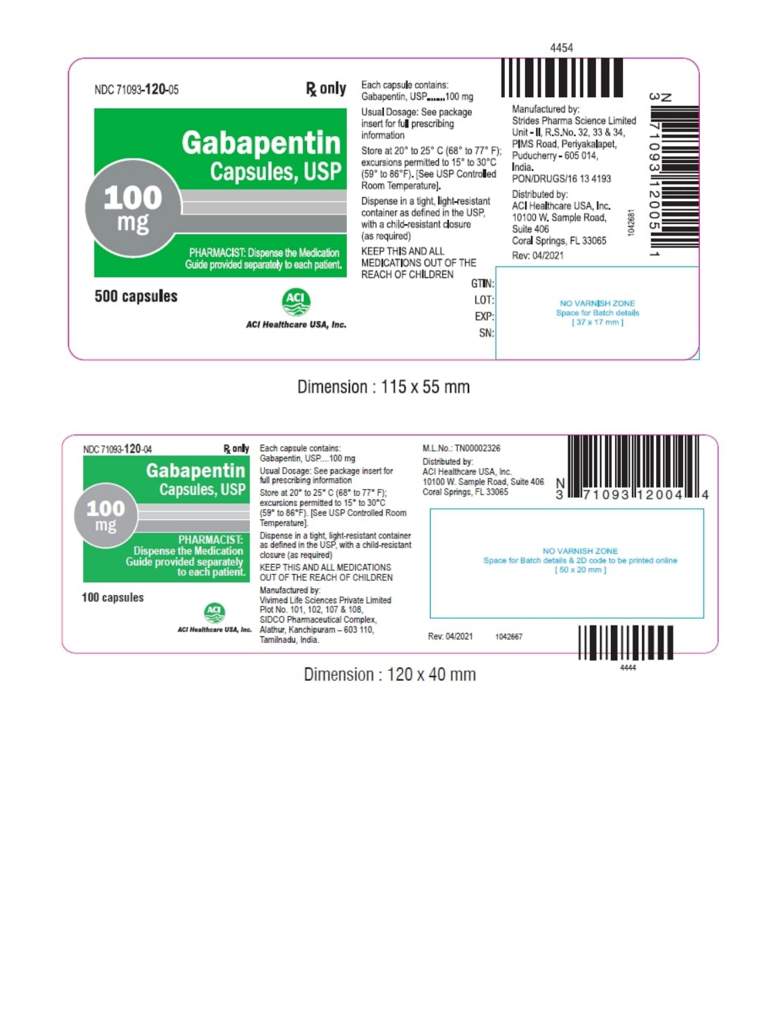

# Dimension: 115 x 55 mm

| 100 capsules | <b>PHARMACIST:</b><br><b>Dispense the Medication</b><br><b>Guide provided separately</b><br>to each patient. | as defined in the USP, with a child-resistant<br>closure (as required)<br>KEEP THIS AND ALL MEDICATIONS<br>OUT OF THE REACH OF CHILDREN<br>Manufactured by:<br>Vivimed Life Sciences Private Limited |                         | NO VARNISH ZONE<br>Space for Batch details & 2D code to be printed online<br>$[50 \times 20$ mm ] |
|--------------|--------------------------------------------------------------------------------------------------------------|------------------------------------------------------------------------------------------------------------------------------------------------------------------------------------------------------|-------------------------|---------------------------------------------------------------------------------------------------|
|              | ACI Healthcare USA, Inc.                                                                                     | Plot No. 101, 102, 107 & 108.<br>SIDCO Pharmaceutical Complex.<br>Alathur, Kanchipuram - 603 110.<br>Tamilnadu, India.                                                                               | Rev: 04/2021<br>1042667 |                                                                                                   |

Dimension: 120 x 40 mm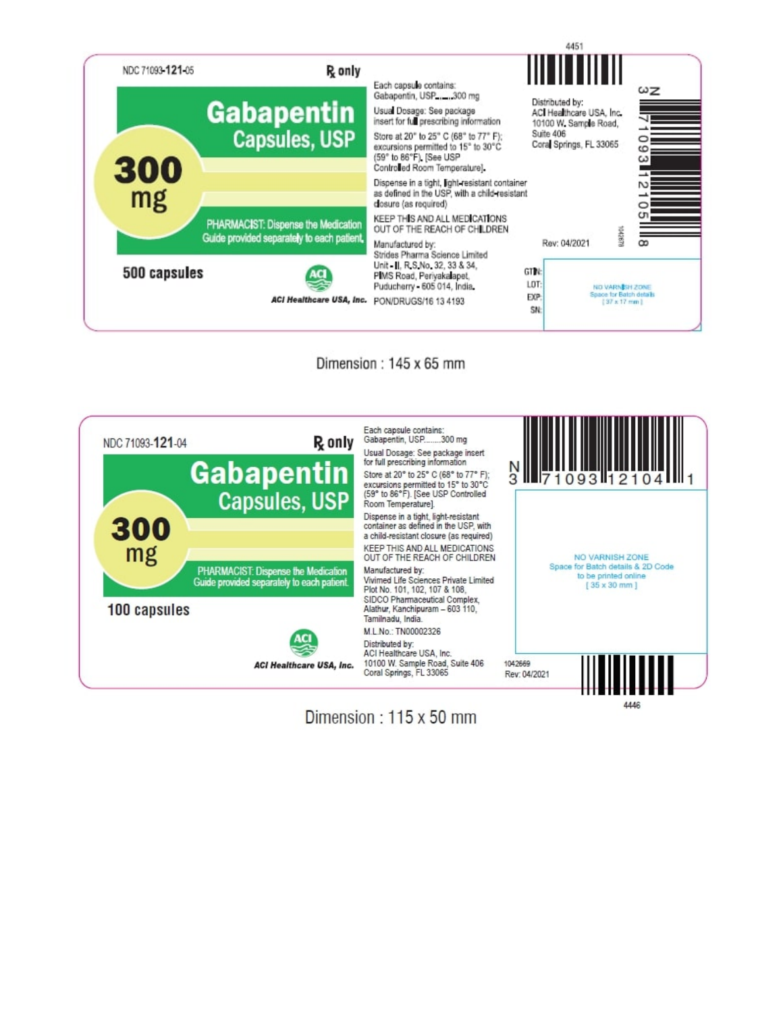





Dimension: 115 x 50 mm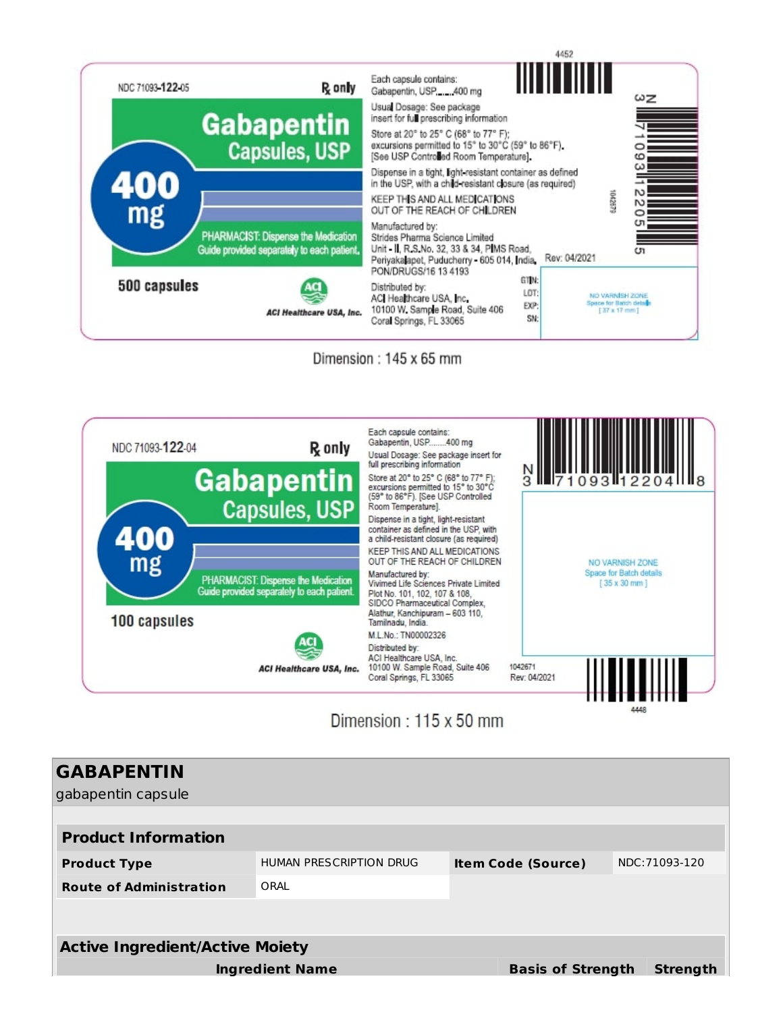

Dimension: 145 x 65 mm



# Dimension: 115 x 50 mm

| <b>GABAPENTIN</b><br>gabapentin capsule |                         |                           |                 |
|-----------------------------------------|-------------------------|---------------------------|-----------------|
| <b>Product Information</b>              |                         |                           |                 |
| <b>Product Type</b>                     | HUMAN PRESCRIPTION DRUG | <b>Item Code (Source)</b> | NDC: 71093-120  |
| <b>Route of Administration</b>          | ORAL                    |                           |                 |
|                                         |                         |                           |                 |
| <b>Active Ingredient/Active Moiety</b>  |                         |                           |                 |
|                                         | <b>Ingredient Name</b>  | <b>Basis of Strength</b>  | <b>Strength</b> |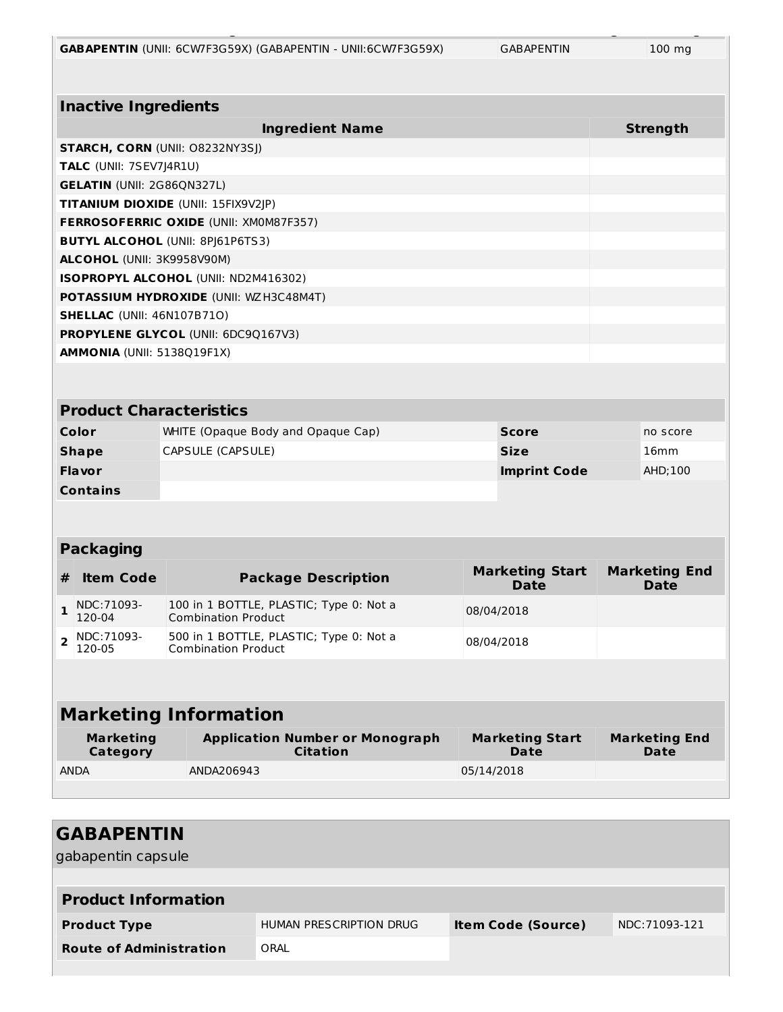|  |  |  | <b>GABAPENTIN</b> (UNII: 6CW7F3G59X) (GABAPENTIN - UNII:6CW7F3G59X) |
|--|--|--|---------------------------------------------------------------------|
|--|--|--|---------------------------------------------------------------------|

**Ingredient Name Basis of Strength Strength**

|                                     | <b>Inactive Ingredients</b>             |                                                                       |            |                                       |  |                                     |  |
|-------------------------------------|-----------------------------------------|-----------------------------------------------------------------------|------------|---------------------------------------|--|-------------------------------------|--|
|                                     |                                         | <b>Ingredient Name</b>                                                |            |                                       |  | <b>Strength</b>                     |  |
|                                     |                                         | STARCH, CORN (UNII: 08232NY3SJ)                                       |            |                                       |  |                                     |  |
|                                     | <b>TALC</b> (UNII: 7SEV7J4R1U)          |                                                                       |            |                                       |  |                                     |  |
|                                     | <b>GELATIN (UNII: 2G86QN327L)</b>       |                                                                       |            |                                       |  |                                     |  |
| TITANIUM DIOXIDE (UNII: 15FIX9V2JP) |                                         |                                                                       |            |                                       |  |                                     |  |
|                                     |                                         | FERROSOFERRIC OXIDE (UNII: XM0M87F357)                                |            |                                       |  |                                     |  |
|                                     | <b>BUTYL ALCOHOL (UNII: 8PJ61P6TS3)</b> |                                                                       |            |                                       |  |                                     |  |
|                                     | ALCOHOL (UNII: 3K9958V90M)              |                                                                       |            |                                       |  |                                     |  |
|                                     |                                         | ISOPROPYL ALCOHOL (UNII: ND2M416302)                                  |            |                                       |  |                                     |  |
|                                     |                                         | <b>POTASSIUM HYDROXIDE (UNII: WZH3C48M4T)</b>                         |            |                                       |  |                                     |  |
|                                     | <b>SHELLAC</b> (UNII: 46N107B71O)       |                                                                       |            |                                       |  |                                     |  |
|                                     |                                         | <b>PROPYLENE GLYCOL (UNII: 6DC9Q167V3)</b>                            |            |                                       |  |                                     |  |
|                                     | <b>AMMONIA (UNII: 5138Q19F1X)</b>       |                                                                       |            |                                       |  |                                     |  |
|                                     |                                         |                                                                       |            |                                       |  |                                     |  |
|                                     |                                         |                                                                       |            |                                       |  |                                     |  |
|                                     | <b>Product Characteristics</b>          |                                                                       |            |                                       |  |                                     |  |
|                                     | Color                                   | WHITE (Opaque Body and Opaque Cap)                                    |            | <b>Score</b>                          |  | no score                            |  |
|                                     | <b>Shape</b>                            | CAPSULE (CAPSULE)                                                     |            | <b>Size</b>                           |  | 16mm                                |  |
|                                     | Flavor                                  |                                                                       |            | <b>Imprint Code</b>                   |  | AHD; 100                            |  |
|                                     | <b>Contains</b>                         |                                                                       |            |                                       |  |                                     |  |
|                                     |                                         |                                                                       |            |                                       |  |                                     |  |
|                                     |                                         |                                                                       |            |                                       |  |                                     |  |
|                                     | <b>Packaging</b>                        |                                                                       |            |                                       |  |                                     |  |
| #                                   | <b>Item Code</b>                        | <b>Package Description</b>                                            |            | <b>Marketing Start</b><br><b>Date</b> |  | <b>Marketing End</b><br><b>Date</b> |  |
| $\mathbf{1}$                        | NDC: 71093-<br>120-04                   | 100 in 1 BOTTLE, PLASTIC; Type 0: Not a<br><b>Combination Product</b> |            | 08/04/2018                            |  |                                     |  |
| $\overline{2}$                      | NDC: 71093-<br>120-05                   | 500 in 1 BOTTLE, PLASTIC; Type 0: Not a<br><b>Combination Product</b> |            | 08/04/2018                            |  |                                     |  |
|                                     |                                         |                                                                       |            |                                       |  |                                     |  |
|                                     | <b>Marketing Information</b>            |                                                                       |            |                                       |  |                                     |  |
|                                     | <b>Marketing</b><br>Category            | <b>Application Number or Monograph</b><br>Citation                    |            | <b>Marketing Start</b><br>Date        |  | <b>Marketing End</b><br>Date        |  |
|                                     | <b>ANDA</b>                             | ANDA206943                                                            | 05/14/2018 |                                       |  |                                     |  |
|                                     |                                         |                                                                       |            |                                       |  |                                     |  |

| <b>GABAPENTIN</b><br>gabapentin capsule |                         |                           |                |
|-----------------------------------------|-------------------------|---------------------------|----------------|
| <b>Product Information</b>              |                         |                           |                |
| <b>Product Type</b>                     | HUMAN PRESCRIPTION DRUG | <b>Item Code (Source)</b> | NDC: 71093-121 |
| <b>Route of Administration</b>          | ORAL                    |                           |                |
|                                         |                         |                           |                |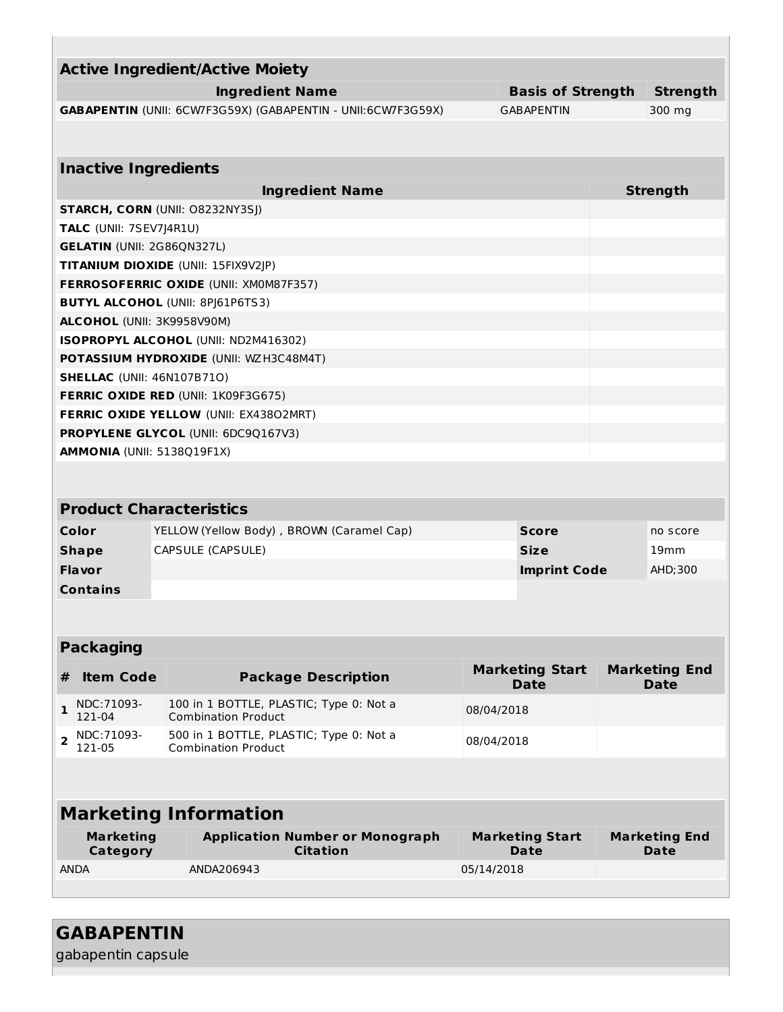|                                                                                | <b>Active Ingredient/Active Moiety</b>                                |            |                                       |          |                                     |  |
|--------------------------------------------------------------------------------|-----------------------------------------------------------------------|------------|---------------------------------------|----------|-------------------------------------|--|
|                                                                                | <b>Ingredient Name</b><br><b>Basis of Strength</b>                    |            |                                       |          | <b>Strength</b>                     |  |
|                                                                                | GABAPENTIN (UNII: 6CW7F3G59X) (GABAPENTIN - UNII:6CW7F3G59X)          |            | <b>GABAPENTIN</b>                     |          | 300 mg                              |  |
|                                                                                |                                                                       |            |                                       |          |                                     |  |
| <b>Inactive Ingredients</b>                                                    |                                                                       |            |                                       |          |                                     |  |
|                                                                                |                                                                       |            |                                       |          |                                     |  |
|                                                                                | <b>Ingredient Name</b>                                                |            |                                       |          | <b>Strength</b>                     |  |
| <b>STARCH, CORN (UNII: O8232NY3SJ)</b><br>TALC (UNII: 7SEV7J4R1U)              |                                                                       |            |                                       |          |                                     |  |
| <b>GELATIN (UNII: 2G86QN327L)</b>                                              |                                                                       |            |                                       |          |                                     |  |
|                                                                                | TITANIUM DIOXIDE (UNII: 15FIX9V2JP)                                   |            |                                       |          |                                     |  |
|                                                                                | <b>FERROSOFERRIC OXIDE (UNII: XM0M87F357)</b>                         |            |                                       |          |                                     |  |
|                                                                                | <b>BUTYL ALCOHOL (UNII: 8PJ61P6TS3)</b>                               |            |                                       |          |                                     |  |
| ALCOHOL (UNII: 3K9958V90M)                                                     |                                                                       |            |                                       |          |                                     |  |
|                                                                                | ISOPROPYL ALCOHOL (UNII: ND2M416302)                                  |            |                                       |          |                                     |  |
|                                                                                | <b>POTASSIUM HYDROXIDE (UNII: WZH3C48M4T)</b>                         |            |                                       |          |                                     |  |
| <b>SHELLAC</b> (UNII: 46N107B71O)                                              |                                                                       |            |                                       |          |                                     |  |
|                                                                                | <b>FERRIC OXIDE RED (UNII: 1K09F3G675)</b>                            |            |                                       |          |                                     |  |
|                                                                                | <b>FERRIC OXIDE YELLOW (UNII: EX43802MRT)</b>                         |            |                                       |          |                                     |  |
|                                                                                | <b>PROPYLENE GLYCOL (UNII: 6DC9Q167V3)</b>                            |            |                                       |          |                                     |  |
| <b>AMMONIA (UNII: 5138Q19F1X)</b>                                              |                                                                       |            |                                       |          |                                     |  |
|                                                                                |                                                                       |            |                                       |          |                                     |  |
|                                                                                | <b>Product Characteristics</b>                                        |            |                                       |          |                                     |  |
| Color<br>YELLOW (Yellow Body), BROWN (Caramel Cap)<br><b>Score</b><br>no score |                                                                       |            |                                       |          |                                     |  |
| <b>Shape</b>                                                                   | CAPSULE (CAPSULE)<br><b>Size</b>                                      |            |                                       |          | 19mm                                |  |
| Flavor                                                                         | <b>Imprint Code</b>                                                   |            |                                       | AHD; 300 |                                     |  |
| <b>Contains</b>                                                                |                                                                       |            |                                       |          |                                     |  |
|                                                                                |                                                                       |            |                                       |          |                                     |  |
|                                                                                |                                                                       |            |                                       |          |                                     |  |
| <b>Packaging</b>                                                               |                                                                       |            |                                       |          |                                     |  |
|                                                                                |                                                                       |            | <b>Marketing Start</b>                |          | <b>Marketing End</b>                |  |
| <b>Item Code</b><br>#                                                          | <b>Package Description</b>                                            |            | <b>Date</b>                           |          | <b>Date</b>                         |  |
| NDC: 71093-<br>$\mathbf{1}$<br>121-04                                          | 100 in 1 BOTTLE, PLASTIC; Type 0: Not a<br><b>Combination Product</b> | 08/04/2018 |                                       |          |                                     |  |
| NDC: 71093-<br>$\overline{2}$<br>121-05                                        | 500 in 1 BOTTLE, PLASTIC; Type 0: Not a<br><b>Combination Product</b> | 08/04/2018 |                                       |          |                                     |  |
|                                                                                |                                                                       |            |                                       |          |                                     |  |
| <b>Marketing Information</b>                                                   |                                                                       |            |                                       |          |                                     |  |
| <b>Marketing</b><br>Category                                                   | <b>Application Number or Monograph</b><br><b>Citation</b>             |            | <b>Marketing Start</b><br><b>Date</b> |          | <b>Marketing End</b><br><b>Date</b> |  |
| <b>ANDA</b>                                                                    | ANDA206943                                                            | 05/14/2018 |                                       |          |                                     |  |
|                                                                                |                                                                       |            |                                       |          |                                     |  |

**GABAPENTIN**

gabapentin capsule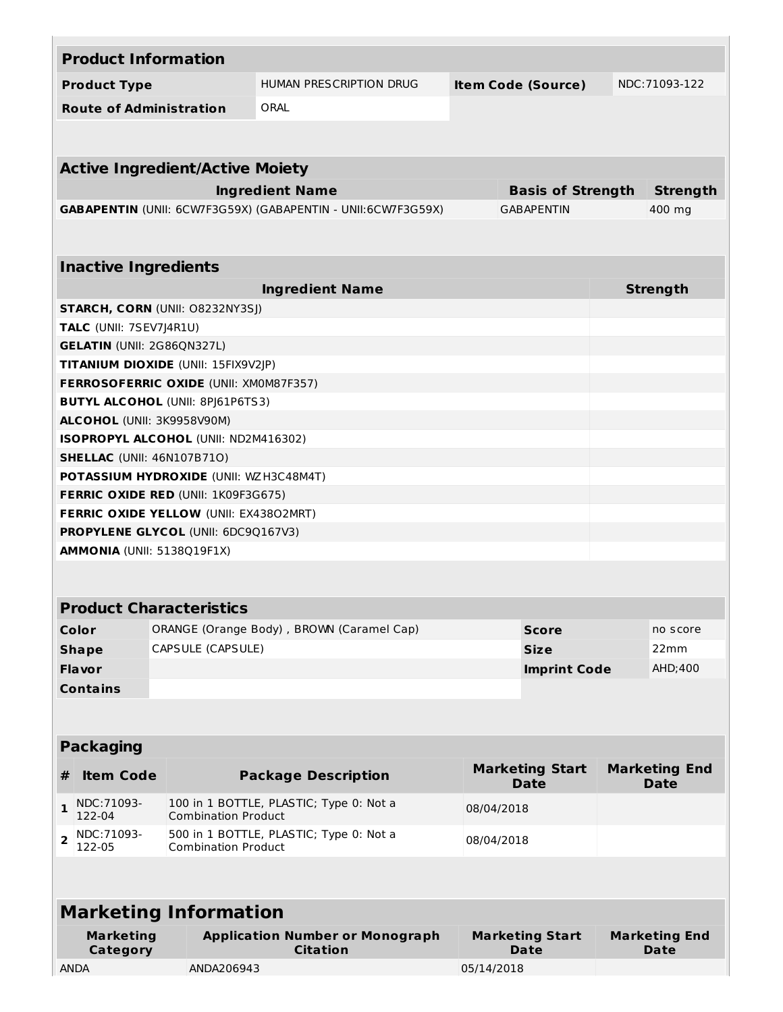|                                     |                              | <b>Product Information</b>                    |                                                              |                           |                                       |  |                                     |
|-------------------------------------|------------------------------|-----------------------------------------------|--------------------------------------------------------------|---------------------------|---------------------------------------|--|-------------------------------------|
|                                     | <b>Product Type</b>          |                                               | HUMAN PRESCRIPTION DRUG                                      | <b>Item Code (Source)</b> |                                       |  | NDC: 71093-122                      |
|                                     |                              | <b>Route of Administration</b>                | ORAL                                                         |                           |                                       |  |                                     |
|                                     |                              |                                               |                                                              |                           |                                       |  |                                     |
|                                     |                              |                                               |                                                              |                           |                                       |  |                                     |
|                                     |                              | <b>Active Ingredient/Active Moiety</b>        |                                                              |                           |                                       |  |                                     |
| <b>Ingredient Name</b>              |                              |                                               |                                                              |                           | <b>Basis of Strength</b>              |  | <b>Strength</b>                     |
|                                     |                              |                                               | GABAPENTIN (UNII: 6CW7F3G59X) (GABAPENTIN - UNII:6CW7F3G59X) |                           | <b>GABAPENTIN</b>                     |  | 400 mg                              |
|                                     |                              |                                               |                                                              |                           |                                       |  |                                     |
|                                     | <b>Inactive Ingredients</b>  |                                               |                                                              |                           |                                       |  |                                     |
|                                     |                              |                                               | <b>Ingredient Name</b>                                       |                           |                                       |  | <b>Strength</b>                     |
|                                     |                              | <b>STARCH, CORN (UNII: O8232NY3SJ)</b>        |                                                              |                           |                                       |  |                                     |
|                                     | TALC (UNII: 7SEV7J4R1U)      |                                               |                                                              |                           |                                       |  |                                     |
|                                     |                              | <b>GELATIN (UNII: 2G86QN327L)</b>             |                                                              |                           |                                       |  |                                     |
|                                     |                              | TITANIUM DIOXIDE (UNII: 15FIX9V2JP)           |                                                              |                           |                                       |  |                                     |
|                                     |                              | FERROSOFERRIC OXIDE (UNII: XM0M87F357)        |                                                              |                           |                                       |  |                                     |
|                                     |                              | <b>BUTYL ALCOHOL (UNII: 8PJ61P6TS3)</b>       |                                                              |                           |                                       |  |                                     |
|                                     |                              | ALCOHOL (UNII: 3K9958V90M)                    |                                                              |                           |                                       |  |                                     |
|                                     |                              | ISOPROPYL ALCOHOL (UNII: ND2M416302)          |                                                              |                           |                                       |  |                                     |
|                                     |                              | <b>SHELLAC (UNII: 46N107B71O)</b>             |                                                              |                           |                                       |  |                                     |
|                                     |                              | <b>POTASSIUM HYDROXIDE (UNII: WZH3C48M4T)</b> |                                                              |                           |                                       |  |                                     |
|                                     |                              | <b>FERRIC OXIDE RED (UNII: 1K09F3G675)</b>    |                                                              |                           |                                       |  |                                     |
|                                     |                              | <b>FERRIC OXIDE YELLOW (UNII: EX43802MRT)</b> |                                                              |                           |                                       |  |                                     |
| PROPYLENE GLYCOL (UNII: 6DC9Q167V3) |                              |                                               |                                                              |                           |                                       |  |                                     |
| AMMONIA (UNII: 5138Q19F1X)          |                              |                                               |                                                              |                           |                                       |  |                                     |
|                                     |                              |                                               |                                                              |                           |                                       |  |                                     |
|                                     |                              | <b>Product Characteristics</b>                |                                                              |                           |                                       |  |                                     |
|                                     | Color                        |                                               | ORANGE (Orange Body), BROWN (Caramel Cap)                    |                           | <b>Score</b>                          |  | no score                            |
|                                     | <b>Shape</b>                 | CAPSULE (CAPSULE)                             |                                                              |                           | <b>Size</b>                           |  | 22mm                                |
|                                     | Flavor                       |                                               |                                                              |                           | <b>Imprint Code</b>                   |  | AHD; 400                            |
|                                     |                              |                                               |                                                              |                           |                                       |  |                                     |
|                                     | <b>Contains</b>              |                                               |                                                              |                           |                                       |  |                                     |
|                                     |                              |                                               |                                                              |                           |                                       |  |                                     |
|                                     | <b>Packaging</b>             |                                               |                                                              |                           |                                       |  |                                     |
| #                                   | <b>Item Code</b>             |                                               | <b>Package Description</b>                                   |                           | <b>Marketing Start</b><br><b>Date</b> |  | <b>Marketing End</b><br><b>Date</b> |
| 1                                   | NDC: 71093-<br>122-04        | <b>Combination Product</b>                    | 100 in 1 BOTTLE, PLASTIC; Type 0: Not a                      | 08/04/2018                |                                       |  |                                     |
| $\overline{2}$                      | NDC:71093-<br>122-05         | <b>Combination Product</b>                    | 500 in 1 BOTTLE, PLASTIC; Type 0: Not a                      | 08/04/2018                |                                       |  |                                     |
|                                     |                              |                                               |                                                              |                           |                                       |  |                                     |
| <b>Marketing Information</b>        |                              |                                               |                                                              |                           |                                       |  |                                     |
|                                     | <b>Marketing</b><br>Category |                                               | <b>Application Number or Monograph</b><br><b>Citation</b>    |                           | <b>Marketing Start</b><br><b>Date</b> |  | <b>Marketing End</b><br>Date        |
|                                     | <b>ANDA</b>                  | ANDA206943                                    |                                                              | 05/14/2018                |                                       |  |                                     |
|                                     |                              |                                               |                                                              |                           |                                       |  |                                     |